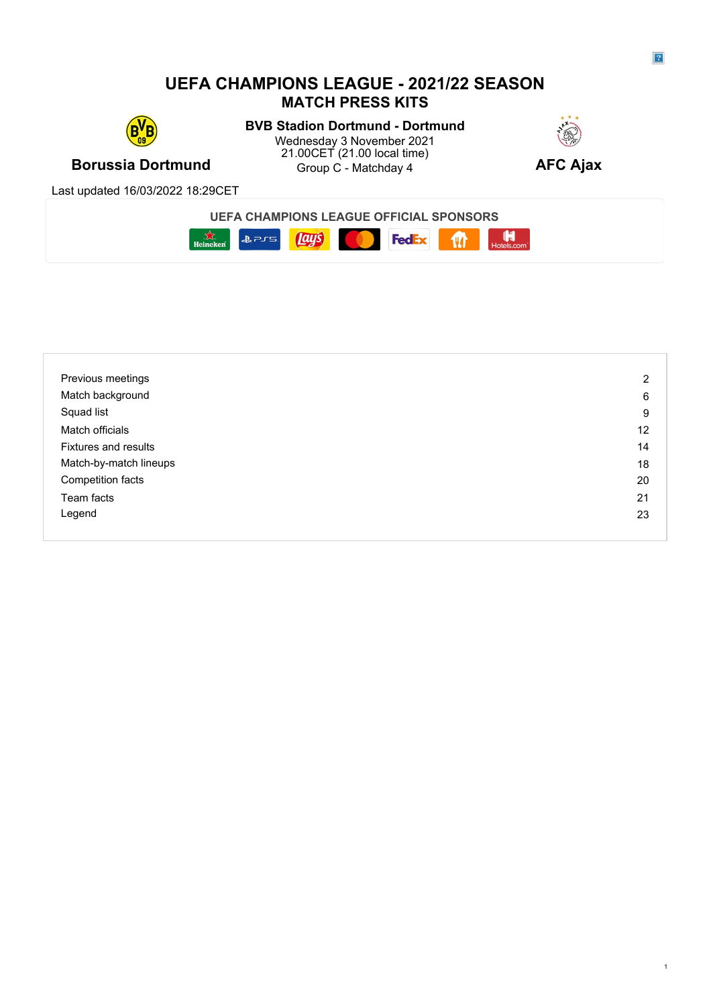### **UEFA CHAMPIONS LEAGUE - 2021/22 SEASON MATCH PRESS KITS**



**Borussia Dortmund Borussia Dortmund Borussia Croup C** - Matchday 4 **AFC Ajax BVB Stadion Dortmund - Dortmund** Wednesday 3 November 2021 21.00CET (21.00 local time) Group C - Matchday 4



Last updated 16/03/2022 18:29CET





| Previous meetings           | 2  |
|-----------------------------|----|
| Match background            | 6  |
| Squad list                  | 9  |
| Match officials             | 12 |
| <b>Fixtures and results</b> | 14 |
| Match-by-match lineups      | 18 |
| Competition facts           | 20 |
| Team facts                  | 21 |
| Legend                      | 23 |
|                             |    |

1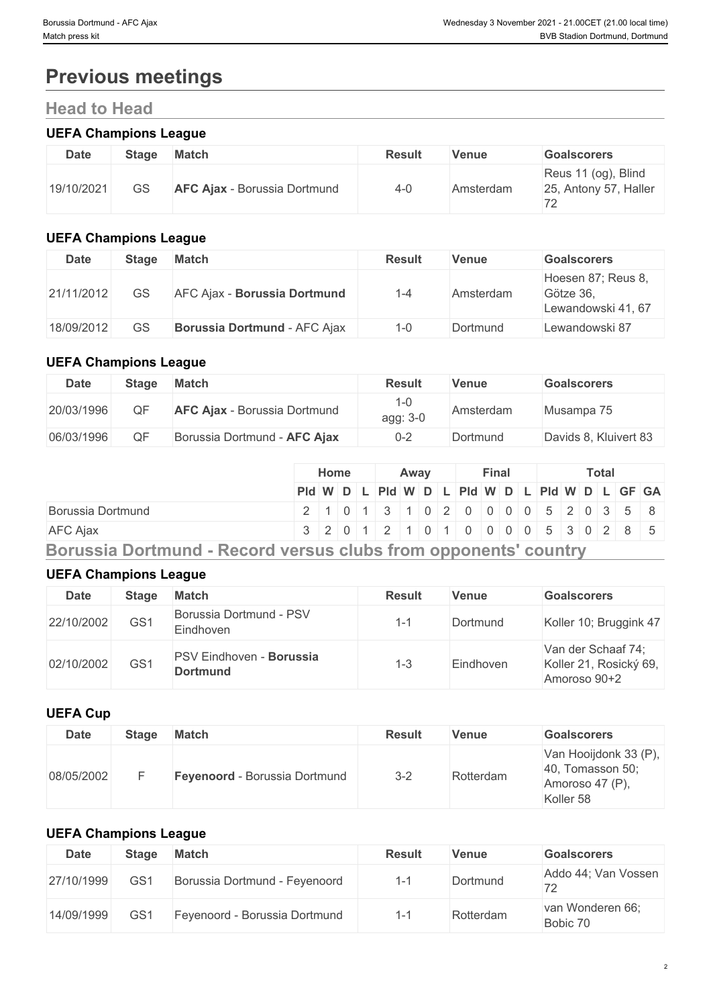# **Previous meetings**

## **Head to Head**

### **UEFA Champions League**

| <b>Date</b> | Stage | <b>Match</b>                        | <b>Result</b> | Venue     | <b>Goalscorers</b>                           |
|-------------|-------|-------------------------------------|---------------|-----------|----------------------------------------------|
| 19/10/2021  | GS    | <b>AFC Ajax - Borussia Dortmund</b> | $4 - 0$       | Amsterdam | Reus 11 (og), Blind<br>25, Antony 57, Haller |

### **UEFA Champions League**

| <b>Date</b> | Stage | Match                               | Result | Venue     | <b>Goalscorers</b>                                    |
|-------------|-------|-------------------------------------|--------|-----------|-------------------------------------------------------|
| 21/11/2012  | GS    | AFC Ajax - Borussia Dortmund        | 1-4    | Amsterdam | Hoesen 87; Reus 8,<br>Götze 36.<br>Lewandowski 41, 67 |
| 18/09/2012  | GS    | <b>Borussia Dortmund - AFC Ajax</b> | 1-0    | Dortmund  | Lewandowski 87                                        |

### **UEFA Champions League**

| <b>Date</b> | <b>Stage</b> | <b>Match</b>                        | <b>Result</b> | Venue     | <b>Goalscorers</b>    |
|-------------|--------------|-------------------------------------|---------------|-----------|-----------------------|
| 20/03/1996  | QF           | <b>AFC Ajax - Borussia Dortmund</b> | agg: 3-0      | Amsterdam | Musampa 75            |
| 06/03/1996  | QF           | Borussia Dortmund - AFC Ajax        | $0 - 2$       | Dortmund  | Davids 8, Kluivert 83 |

|                                                                 |  | Home |  | Awav |  |  | Final |  |  | <b>Total</b> |                                               |
|-----------------------------------------------------------------|--|------|--|------|--|--|-------|--|--|--------------|-----------------------------------------------|
|                                                                 |  |      |  |      |  |  |       |  |  |              | Pid W D L Pid W D L Pid W D L Pid W D L GF GA |
| Borussia Dortmund                                               |  |      |  |      |  |  |       |  |  |              | 2 1 0 1 3 1 0 2 0 0 0 0 5 2 0 3 5 8           |
| <b>AFC Ajax</b>                                                 |  |      |  |      |  |  |       |  |  |              | 3 2 0 1 2 1 0 1 0 0 0 0 5 3 0 2 8 5           |
| Borussia Dortmund - Record versus clubs from opponents' country |  |      |  |      |  |  |       |  |  |              |                                               |

### **UEFA Champions League**

| <b>Date</b> | <b>Stage</b>    | <b>Match</b>                                | <b>Result</b> | <b>Venue</b> | <b>Goalscorers</b>                                           |
|-------------|-----------------|---------------------------------------------|---------------|--------------|--------------------------------------------------------------|
| 22/10/2002  | GS <sub>1</sub> | Borussia Dortmund - PSV<br>Eindhoven        | $1 - 1$       | Dortmund     | Koller 10; Bruggink 47                                       |
| 02/10/2002  | GS1             | PSV Eindhoven - Borussia<br><b>Dortmund</b> | -3            | Eindhoven    | Van der Schaaf 74;<br>Koller 21, Rosický 69,<br>Amoroso 90+2 |

### **UEFA Cup**

| <b>Date</b> | Stage | Match                         | <b>Result</b> | <b>Venue</b> | <b>Goalscorers</b>                                                        |
|-------------|-------|-------------------------------|---------------|--------------|---------------------------------------------------------------------------|
| 08/05/2002  |       | Feyenoord - Borussia Dortmund | $3 - 2$       | Rotterdam    | Van Hooijdonk 33 (P),<br>40, Tomasson 50;<br>Amoroso 47 (P),<br>Koller 58 |

### **UEFA Champions League**

| <b>Date</b> | Stage           | <b>Match</b>                  | <b>Result</b> | <b>Venue</b> | <b>Goalscorers</b>                              |
|-------------|-----------------|-------------------------------|---------------|--------------|-------------------------------------------------|
| 27/10/1999  | GS <sup>1</sup> | Borussia Dortmund - Feyenoord | $-$           | Dortmund     | Addo 44; Van Vossen<br>$\overline{\phantom{0}}$ |
| 14/09/1999  | GS <sup>-</sup> | Feyenoord - Borussia Dortmund |               | Rotterdam    | van Wonderen 66;<br>Bobic 70                    |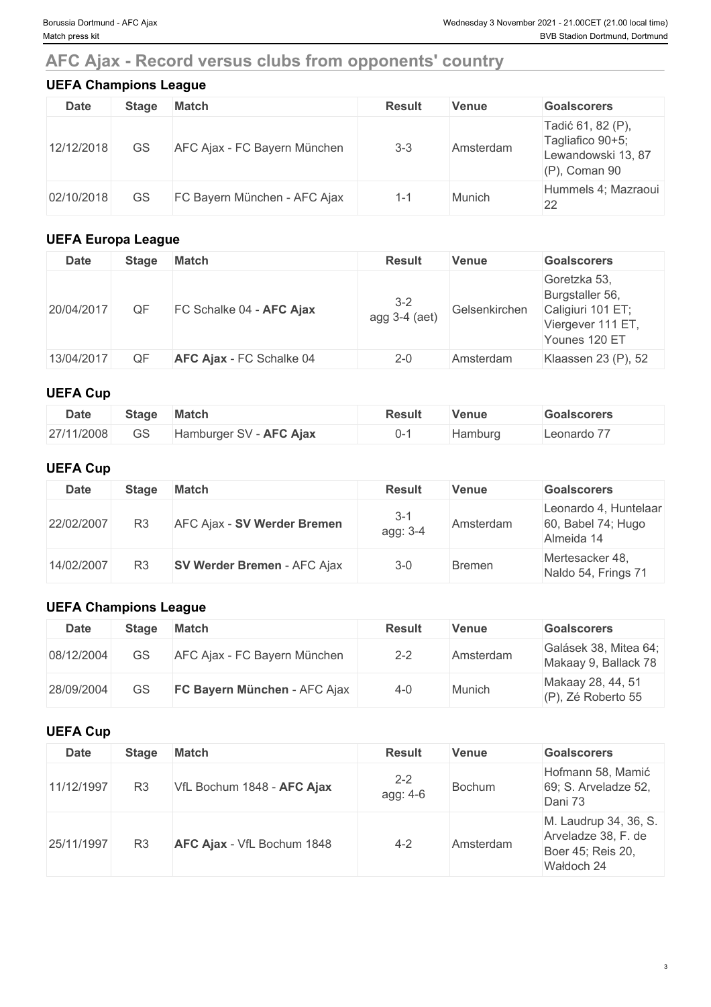# **AFC Ajax - Record versus clubs from opponents' country**

| <b>UEFA Champions League</b> |              |                              |               |              |                                                                                 |  |  |  |
|------------------------------|--------------|------------------------------|---------------|--------------|---------------------------------------------------------------------------------|--|--|--|
| <b>Date</b>                  | <b>Stage</b> | <b>Match</b>                 | <b>Result</b> | <b>Venue</b> | <b>Goalscorers</b>                                                              |  |  |  |
| 12/12/2018                   | GS           | AFC Ajax - FC Bayern München | $3 - 3$       | Amsterdam    | Tadić 61, 82 (P),<br>Tagliafico 90+5;<br>Lewandowski 13, 87<br>$(P)$ , Coman 90 |  |  |  |
| 02/10/2018                   | GS           | FC Bayern München - AFC Ajax | $1 - 1$       | Munich       | Hummels 4; Mazraoui<br>22                                                       |  |  |  |

### **UEFA Europa League**

| <b>Date</b> | Stage | <b>Match</b>             | <b>Result</b>            | <b>Venue</b>  | <b>Goalscorers</b>                                                                         |
|-------------|-------|--------------------------|--------------------------|---------------|--------------------------------------------------------------------------------------------|
| 20/04/2017  | QF    | FC Schalke 04 - AFC Ajax | $3 - 2$<br>agg 3-4 (aet) | Gelsenkirchen | Goretzka 53,<br>Burgstaller 56,<br>Caligiuri 101 ET;<br>Viergever 111 ET,<br>Younes 120 ET |
| 13/04/2017  | QF    | AFC Ajax - FC Schalke 04 | $2 - 0$                  | Amsterdam     | Klaassen 23 (P), 52                                                                        |

### **UEFA Cup**

| <b>Date</b> | Stage | <b>Match</b>               | Result<br>- - - - | <b>Venue</b> | <b>Goalscorers</b>             |
|-------------|-------|----------------------------|-------------------|--------------|--------------------------------|
| 27/11/2008  | GS    | - AFC Ajax<br>Hamburger SV | $J^-$             | Hamburg      | $- -$<br>_eonardo <sup>:</sup> |

### **UEFA Cup**

| Date       | Stage          | <b>Match</b>                       | <b>Result</b>       | Venue         | <b>Goalscorers</b>                                           |
|------------|----------------|------------------------------------|---------------------|---------------|--------------------------------------------------------------|
| 22/02/2007 | R <sub>3</sub> | AFC Ajax - SV Werder Bremen        | $3 - 1$<br>agg: 3-4 | Amsterdam     | Leonardo 4, Huntelaar<br>$60$ , Babel 74; Hugo<br>Almeida 14 |
| 14/02/2007 | R3             | <b>SV Werder Bremen - AFC Ajax</b> | $3-0$               | <b>Bremen</b> | Mertesacker 48,<br>Naldo 54, Frings 71                       |

### **UEFA Champions League**

| Date       | Stage | Match                               | <b>Result</b> | Venue     | <b>Goalscorers</b>                            |
|------------|-------|-------------------------------------|---------------|-----------|-----------------------------------------------|
| 08/12/2004 | GS    | AFC Ajax - FC Bayern München        | $2 - 2$       | Amsterdam | Galásek 38, Mitea 64;<br>Makaay 9, Ballack 78 |
| 28/09/2004 | GS    | <b>FC Bayern München - AFC Ajax</b> | $4 - 0$       | Munich    | Makaay 28, 44, 51<br>(P), Zé Roberto 55       |

### **UEFA Cup**

| Date       | Stage          | <b>Match</b>                      | <b>Result</b>       | <b>Venue</b> | <b>Goalscorers</b>                                                              |
|------------|----------------|-----------------------------------|---------------------|--------------|---------------------------------------------------------------------------------|
| 11/12/1997 | R <sub>3</sub> | VfL Bochum 1848 - AFC Ajax        | $2 - 2$<br>agg: 4-6 | Bochum       | Hofmann 58, Mamić<br>69; S. Arveladze 52,<br>Dani 73                            |
| 25/11/1997 | R <sub>3</sub> | <b>AFC Ajax</b> - VfL Bochum 1848 | $4 - 2$             | Amsterdam    | M. Laudrup 34, 36, S.<br>Arveladze 38, F. de<br>Boer 45; Reis 20,<br>Wałdoch 24 |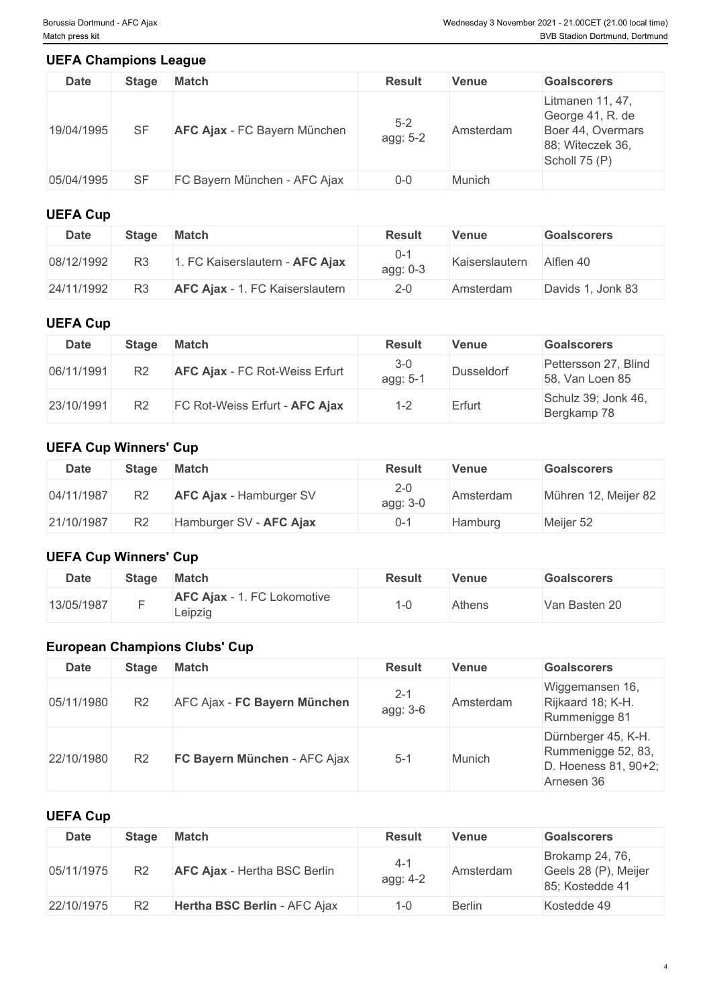### **UEFA Champions League**

| <b>Date</b> | Stage     | <b>Match</b>                        | <b>Result</b>       | <b>Venue</b> | <b>Goalscorers</b>                                                                             |
|-------------|-----------|-------------------------------------|---------------------|--------------|------------------------------------------------------------------------------------------------|
| 19/04/1995  | <b>SF</b> | <b>AFC Ajax - FC Bayern München</b> | $5 - 2$<br>agg: 5-2 | Amsterdam    | Litmanen 11, 47,<br>George 41, R. de<br>Boer 44, Overmars<br>88; Witeczek 36,<br>Scholl 75 (P) |
| 05/04/1995  | <b>SF</b> | FC Bayern München - AFC Ajax        | $0 - 0$             | Munich       |                                                                                                |

### **UEFA Cup**

| <b>Date</b> | Stage          | <b>Match</b>                           | <b>Result</b>   | Venue          | <b>Goalscorers</b> |
|-------------|----------------|----------------------------------------|-----------------|----------------|--------------------|
| 08/12/1992  | R <sub>3</sub> | FC Kaiserslautern - AFC Ajax           | 0-1<br>agg: 0-3 | Kaiserslautern | Alflen 40          |
| 24/11/1992  | R <sub>3</sub> | <b>AFC Ajax - 1. FC Kaiserslautern</b> | $2 - 0$         | Amsterdam      | Davids 1, Jonk 83  |

### **UEFA Cup**

| Date       | Stage          | <b>Match</b>                          | <b>Result</b>       | Venue      | <b>Goalscorers</b>                      |
|------------|----------------|---------------------------------------|---------------------|------------|-----------------------------------------|
| 06/11/1991 | R <sub>2</sub> | <b>AFC Ajax - FC Rot-Weiss Erfurt</b> | $3 - 0$<br>agg: 5-1 | Dusseldorf | Pettersson 27, Blind<br>58, Van Loen 85 |
| 23/10/1991 | R <sub>2</sub> | FC Rot-Weiss Erfurt - AFC Ajax        | 1-2                 | Erfurt     | Schulz 39; Jonk 46,<br>Bergkamp 78      |

### **UEFA Cup Winners' Cup**

| <b>Date</b> | Stage          | <b>Match</b>                   | <b>Result</b>       | Venue     | <b>Goalscorers</b>   |
|-------------|----------------|--------------------------------|---------------------|-----------|----------------------|
| 04/11/1987  | R <sub>2</sub> | <b>AFC Ajax</b> - Hamburger SV | $2 - 0$<br>agg: 3-0 | Amsterdam | Mühren 12, Meijer 82 |
| 21/10/1987  | R <sub>2</sub> | Hamburger SV - AFC Ajax        | 0-ʻ                 | Hamburg   | Meijer 52            |

### **UEFA Cup Winners' Cup**

| <b>Date</b> | <b>Stage</b> | <b>Match</b>                           | <b>Result</b> | Venue  | <b>Goalscorers</b> |
|-------------|--------------|----------------------------------------|---------------|--------|--------------------|
| 13/05/1987  |              | AFC Ajax - 1. FC Lokomotive<br>∟eipzig |               | Athens | Van Basten 20      |

### **European Champions Clubs' Cup**

### **UEFA Cup**

| <b>Date</b> | <b>Stage</b>   | <b>Match</b>                        | <b>Result</b>     | Venue         | <b>Goalscorers</b>                                         |
|-------------|----------------|-------------------------------------|-------------------|---------------|------------------------------------------------------------|
| 05/11/1975  | R <sub>2</sub> | <b>AFC Ajax - Hertha BSC Berlin</b> | $4-1$<br>agg: 4-2 | Amsterdam     | Brokamp 24, 76,<br>Geels 28 (P), Meijer<br>85; Kostedde 41 |
| 22/10/1975  | R <sub>2</sub> | Hertha BSC Berlin - AFC Ajax        | l-0               | <b>Berlin</b> | Kostedde 49                                                |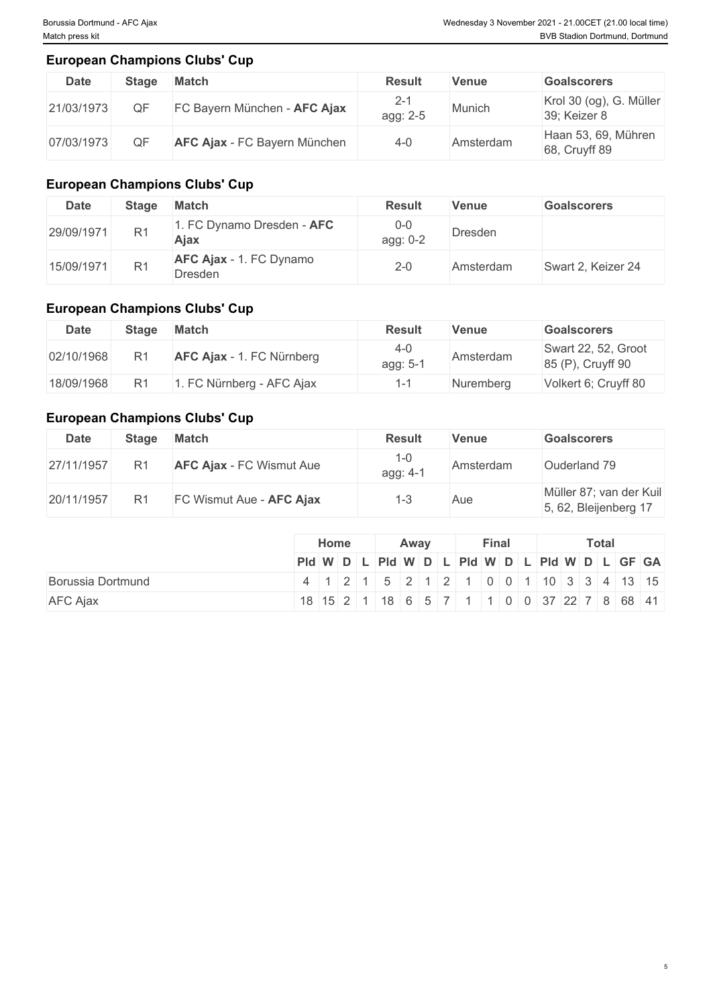5

### **European Champions Clubs' Cup**

| <b>Date</b> | Stage | <b>Match</b>                 | <b>Result</b>       | <b>Venue</b> | <b>Goalscorers</b>                      |
|-------------|-------|------------------------------|---------------------|--------------|-----------------------------------------|
| 21/03/1973  |       | FC Bayern München - AFC Ajax | $2 - 1$<br>agg: 2-5 | Munich       | Krol 30 (og), G. Müller<br>39; Keizer 8 |
| 07/03/1973  |       | AFC Ajax - FC Bayern München | 4-0                 | Amsterdam    | Haan 53, 69, Mühren<br>68, Cruyff 89    |

### **European Champions Clubs' Cup**

| <b>Date</b> | Stage          | <b>Match</b>                              | <b>Result</b>     | Venue     | <b>Goalscorers</b> |
|-------------|----------------|-------------------------------------------|-------------------|-----------|--------------------|
| 29/09/1971  | R <sub>1</sub> | . FC Dynamo Dresden - AFC<br>Ajax         | $0-0$<br>agg: 0-2 | Dresden   |                    |
| 15/09/1971  | R <sub>1</sub> | <b>AFC Ajax - 1. FC Dynamo</b><br>Dresden | $2 - 0$           | Amsterdam | Swart 2, Keizer 24 |

### **European Champions Clubs' Cup**

| <b>Date</b> | Stage | <b>Match</b>                     | <b>Result</b>     | Venue     | <b>Goalscorers</b>                       |
|-------------|-------|----------------------------------|-------------------|-----------|------------------------------------------|
| 02/10/1968  | R1    | <b>AFC Ajax - 1. FC Nürnberg</b> | 4-0<br>agg: $5-7$ | Amsterdam | Swart 22, 52, Groot<br>85 (P), Cruyff 90 |
| 18/09/1968  | R1    | . FC Nürnberg - AFC Ajax         |                   | Nuremberg | Volkert 6; Cruyff 80                     |

### **European Champions Clubs' Cup**

| <b>Date</b> | Stage          | <b>Match</b>                    | <b>Result</b>   | <b>Venue</b> | <b>Goalscorers</b>                               |
|-------------|----------------|---------------------------------|-----------------|--------------|--------------------------------------------------|
| 27/11/1957  | R <sub>1</sub> | <b>AFC Ajax - FC Wismut Aue</b> | 1-0<br>agg: 4-1 | Amsterdam    | Ouderland 79                                     |
| 20/11/1957  | R <sup>1</sup> | FC Wismut Aue - AFC Ajax        |                 | Aue          | Müller 87; van der Kuil<br>5, 62, Bleijenberg 17 |

|                   | Home | Away | <b>Final</b> | <b>Total</b>                                  |  |  |  |
|-------------------|------|------|--------------|-----------------------------------------------|--|--|--|
|                   |      |      |              | Pid W D L Pid W D L Pid W D L Pid W D L GF GA |  |  |  |
| Borussia Dortmund |      |      |              | 4 1 2 1 5 2 1 2 1 0 0 1 1 0 3 3 4 13 15       |  |  |  |
| <b>AFC Ajax</b>   |      |      |              | 18 15 2 1 18 6 5 7 1 1 0 0 37 22 7 8 68 41    |  |  |  |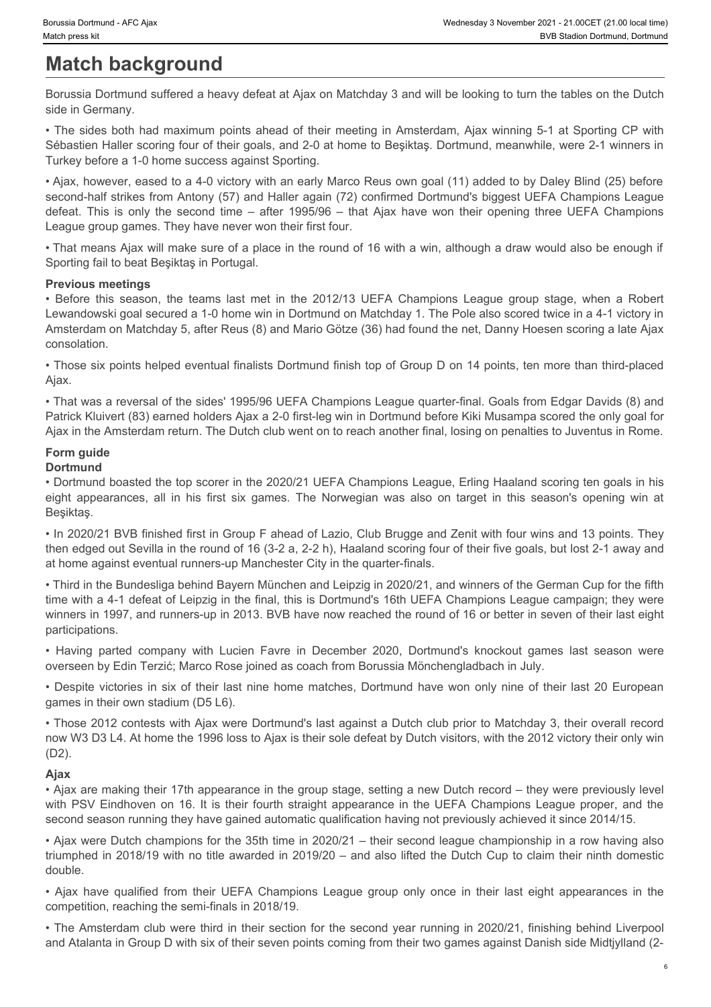# **Match background**

Borussia Dortmund suffered a heavy defeat at Ajax on Matchday 3 and will be looking to turn the tables on the Dutch side in Germany.

• The sides both had maximum points ahead of their meeting in Amsterdam, Ajax winning 5-1 at Sporting CP with Sébastien Haller scoring four of their goals, and 2-0 at home to Beşiktaş. Dortmund, meanwhile, were 2-1 winners in Turkey before a 1-0 home success against Sporting.

• Ajax, however, eased to a 4-0 victory with an early Marco Reus own goal (11) added to by Daley Blind (25) before second-half strikes from Antony (57) and Haller again (72) confirmed Dortmund's biggest UEFA Champions League Sorussia Dottmurd - AFC Ajax<br>
Match background<br>
Match background<br>
Borussia Dortmund suffered a heavy defeat at Ajax on Matchday 3 and will be looking to turn the tables on the Dutch<br>
For side in Germany.<br>
The sides both ha League group games. They have never won their first four. • Before this season, the teams of the stage of the stage and the teams of the teams of the stage another and the stage and the stage and the stage of the meeting in Amsterdam, Ajax winning 5-1 at Sporting CP with<br>Before t eignes the metallices, and the metallices all in the Norwegian was also on the Norwegian Market appearance in the Norwegian Market appearance in the Norwegian Market appearance in the Norwegian Was also on the Dutch Chinac **Fraction II December 1991 and The Company of the English and Mile tooking to further background and Company with the Company and Solicity The Solicity of the Company and Solicity The Company and The Company and The Compan** 

• That means Ajax will make sure of a place in the round of 16 with a win, although a draw would also be enough if Sporting fail to beat Beşiktaş in Portugal.

#### **Previous meetings**

Lewandowski goal secured a 1-0 home win in Dortmund on Matchday 1. The Pole also scored twice in a 4-1 victory in Amsterdam on Matchday 5, after Reus (8) and Mario Götze (36) had found the net, Danny Hoesen scoring a late Ajax consolation. League groots (meet here is the meet the meet from the two-film and would also be emagging the two-film failed boostels in Frederic appearance in the UEFA Champions League group stage. When a Nooter the Heroice the Heroice

• Those six points helped eventual finalists Dortmund finish top of Group D on 14 points, ten more than third-placed Ajax.

• That was a reversal of the sides' 1995/96 UEFA Champions League quarter-final. Goals from Edgar Davids (8) and Patrick Kluivert (83) earned holders Ajax a 2-0 first-leg win in Dortmund before Kiki Musampa scored the only goal for Ajax in the Amsterdam return. The Dutch club went on to reach another final, losing on penalties to Juventus in Rome.

### **Form guide**

#### **Dortmund**

• Dortmund boasted the top scorer in the 2020/21 UEFA Champions League, Erling Haaland scoring ten goals in his Beşiktaş.

• In 2020/21 BVB finished first in Group F ahead of Lazio, Club Brugge and Zenit with four wins and 13 points. They then edged out Sevilla in the round of 16 (3-2 a, 2-2 h), Haaland scoring four of their five goals, but lost 2-1 away and at home against eventual runners-up Manchester City in the quarter-finals.

• Third in the Bundesliga behind Bayern München and Leipzig in 2020/21, and winners of the German Cup for the fifth time with a 4-1 defeat of Leipzig in the final, this is Dortmund's 16th UEFA Champions League campaign; they were winners in 1997, and runners-up in 2013. BVB have now reached the round of 16 or better in seven of their last eight participations. Levendowski goal lesculies at 1-1 (leven have in the principital matching in the USe also scored two in a 4-1 victory in the third of the match was in a 4-1 victory in the Champions League group of the pair of the same sev

overseen by Edin Terzić; Marco Rose joined as coach from Borussia Mönchengladbach in July.

• Despite victories in six of their last nine home matches, Dortmund have won only nine of their last 20 European games in their own stadium (D5 L6).

• Those 2012 contests with Ajax were Dortmund's last against a Dutch club prior to Matchday 3, their overall record now W3 D3 L4. At home the 1996 loss to Ajax is their sole defeat by Dutch visitors, with the 2012 victory their only win (D2).

#### **Ajax**

• Ajax are making their 17th appearance in the group stage, setting a new Dutch record – they were previously level second season running they have gained automatic qualification having not previously achieved it since 2014/15.

• Ajax were Dutch champions for the 35th time in 2020/21 – their second league championship in a row having also triumphed in 2018/19 with no title awarded in 2019/20 – and also lifted the Dutch Cup to claim their ninth domestic double.

competition, reaching the semi-finals in 2018/19.

• The Amsterdam club were third in their section for the second year running in 2020/21, finishing behind Liverpool and Atalanta in Group D with six of their seven points coming from their two games against Danish side Midtjylland (2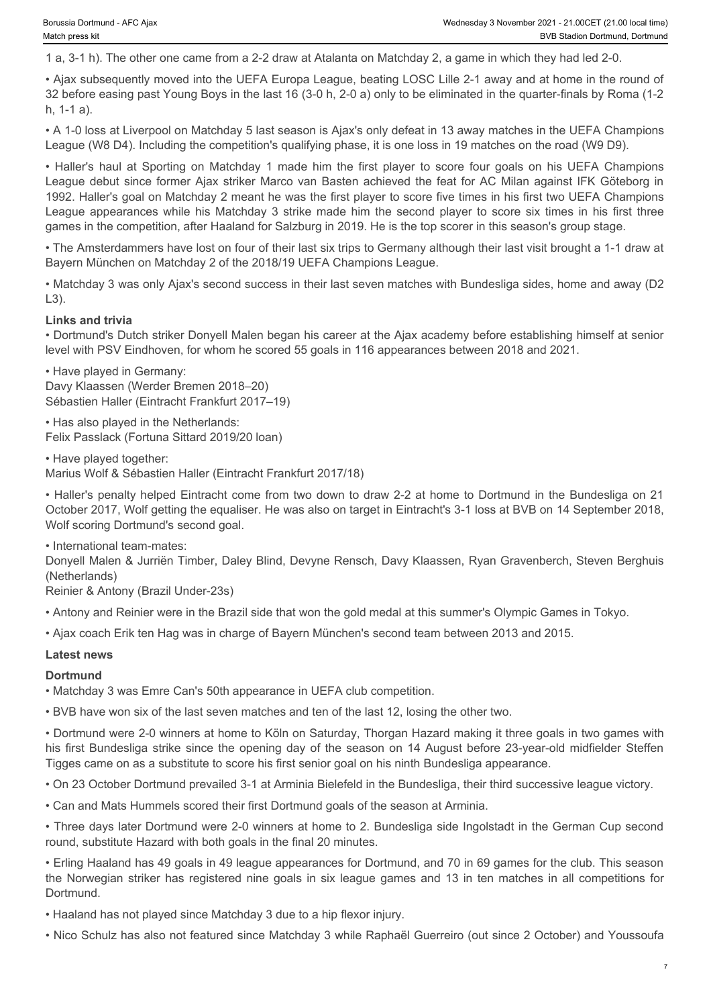1 a, 3-1 h). The other one came from a 2-2 draw at Atalanta on Matchday 2, a game in which they had led 2-0.

• Ajax subsequently moved into the UEFA Europa League, beating LOSC Lille 2-1 away and at home in the round of 32 before easing past Young Boys in the last 16 (3-0 h, 2-0 a) only to be eliminated in the quarter-finals by Roma (1-2 h, 1-1 a).

• A 1-0 loss at Liverpool on Matchday 5 last season is Ajax's only defeat in 13 away matches in the UEFA Champions League (W8 D4). Including the competition's qualifying phase, it is one loss in 19 matches on the road (W9 D9).

From the American on AFC Alax<br>
• Wednesday 3 November 2021 - 21 00CET (21.00 loost lime)<br>
• Haller's procedure on the DUEFA Europa League, beating LOSC Lille 2-1 away and at home in the round of<br>
• Alax subsequently moved League debut since former Ajax striker Marco van Basten achieved the feat for AC Milan against IFK Göteborg in 1992. Haller's goal on Matchday 2 meant he was the first player to score five times in his first two UEFA Champions Sources to Durantal AFC Alex<br>
Werdesday 3 November 2021 - 21 000ET (21.00 local text<br>
18.3 -1 h). The other one came from a 2-2 draw at Atalianta on Matchday 2, a game in which they had led 2-0,<br>
19.3 subsequently moved in games in the competition, after Haaland for Salzburg in 2019. He is the top scorer in this season's group stage.

• The Amsterdammers have lost on four of their last six trips to Germany although their last visit brought a 1-1 draw at Bayern München on Matchday 2 of the 2018/19 UEFA Champions League.

• Matchday 3 was only Ajax's second success in their last seven matches with Bundesliga sides, home and away (D2 L3).

#### **Links and trivia**

• Dortmund's Dutch striker Donyell Malen began his career at the Ajax academy before establishing himself at senior level with PSV Eindhoven, for whom he scored 55 goals in 116 appearances between 2018 and 2021.

• Have played in Germany: Davy Klaassen (Werder Bremen 2018–20) Sébastien Haller (Eintracht Frankfurt 2017–19)

• Has also played in the Netherlands: Felix Passlack (Fortuna Sittard 2019/20 loan)

• Have played together:

Marius Wolf & Sébastien Haller (Eintracht Frankfurt 2017/18)

• Haller's penalty helped Eintracht come from two down to draw 2-2 at home to Dortmund in the Bundesliga on 21 October 2017, Wolf getting the equaliser. He was also on target in Eintracht's 3-1 loss at BVB on 14 September 2018, Wolf scoring Dortmund's second goal.

• International team-mates:

Donyell Malen & Jurriën Timber, Daley Blind, Devyne Rensch, Davy Klaassen, Ryan Gravenberch, Steven Berghuis (Netherlands)

Reinier & Antony (Brazil Under-23s)

• Antony and Reinier were in the Brazil side that won the gold medal at this summer's Olympic Games in Tokyo.

• Ajax coach Erik ten Hag was in charge of Bayern München's second team between 2013 and 2015.

#### **Latest news**

#### **Dortmund**

• Matchday 3 was Emre Can's 50th appearance in UEFA club competition.

• BVB have won six of the last seven matches and ten of the last 12, losing the other two.

• Dortmund were 2-0 winners at home to Köln on Saturday, Thorgan Hazard making it three goals in two games with his first Bundesliga strike since the opening day of the season on 14 August before 23-year-old midfielder Steffen Tigges came on as a substitute to score his first senior goal on his ninth Bundesliga appearance.

• On 23 October Dortmund prevailed 3-1 at Arminia Bielefeld in the Bundesliga, their third successive league victory.

• Can and Mats Hummels scored their first Dortmund goals of the season at Arminia.

• Three days later Dortmund were 2-0 winners at home to 2. Bundesliga side Ingolstadt in the German Cup second round, substitute Hazard with both goals in the final 20 minutes.

• Erling Haaland has 49 goals in 49 league appearances for Dortmund, and 70 in 69 games for the club. This season the Norwegian striker has registered nine goals in six league games and 13 in ten matches in all competitions for Dortmund.

• Haaland has not played since Matchday 3 due to a hip flexor injury.

• Nico Schulz has also not featured since Matchday 3 while Raphaël Guerreiro (out since 2 October) and Youssoufa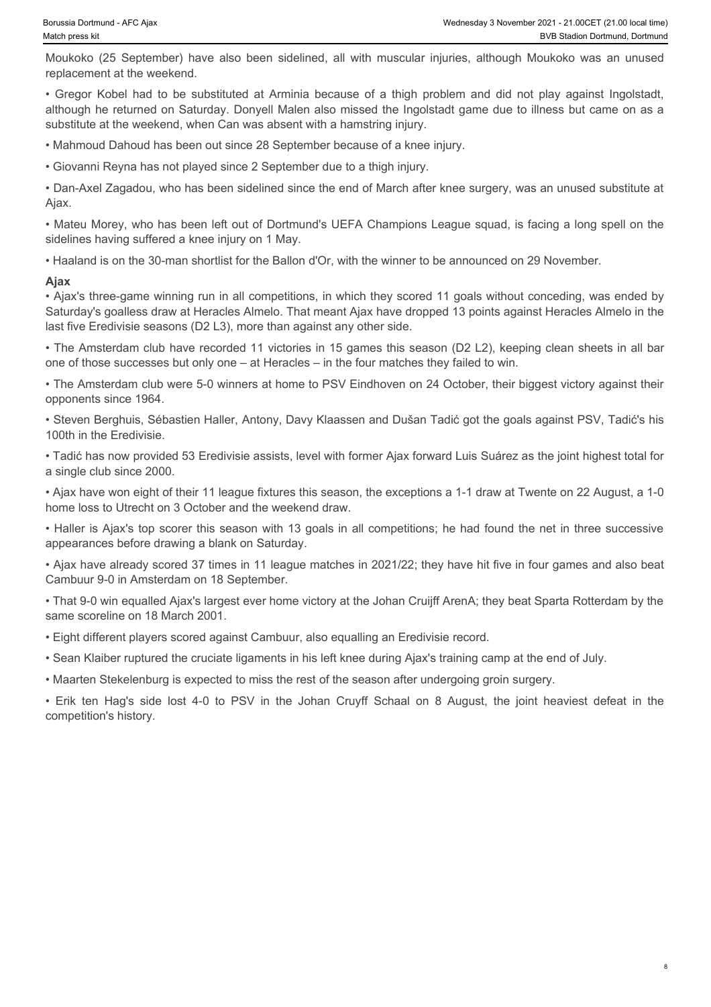8

replacement at the weekend.

Wednesday 3 November 2021 - 21.00CET (21.00 local time)<br>Moukoko (25 September) have also been sidelined, all with muscular injuries, although Moukoko was an unused<br>replacement at the weekend.<br>• Gregor Kobel had to be subst • Gregor Kobel had to be substituted at Arminia because of a thigh problem and did not play against Ingolstadt,<br>• Gregor Kobel had to be substituted at Arminia because of a thigh problem and did not play against Ingolstadt although he returned on Saturday. Donyell Malen also missed the Ingolstadt game due to illness but came on as a substitute at the weekend, when Can was absent with a hamstring injury.

• Mahmoud Dahoud has been out since 28 September because of a knee injury.

• Giovanni Reyna has not played since 2 September due to a thigh injury.

• Dan-Axel Zagadou, who has been sidelined since the end of March after knee surgery, was an unused substitute at Ajax.

• Mateu Morey, who has been left out of Dortmund's UEFA Champions League squad, is facing a long spell on the sidelines having suffered a knee injury on 1 May.

• Haaland is on the 30-man shortlist for the Ballon d'Or, with the winner to be announced on 29 November.

#### **Ajax**

• Ajax's three-game winning run in all competitions, in which they scored 11 goals without conceding, was ended by Saturday's goalless draw at Heracles Almelo. That meant Ajax have dropped 13 points against Heracles Almelo in the last five Eredivisie seasons (D2 L3), more than against any other side. substitute at the weekend, wave Cruyfies and the simultane in particular ten Haginan particular at the particular state in the Johan Cruyff Schaal on the Johan Cruyff Schaal on 8 August, which the Dockson Hagina Cruyff Sch

• The Amsterdam club have recorded 11 victories in 15 games this season (D2 L2), keeping clean sheets in all bar one of those successes but only one – at Heracles – in the four matches they failed to win.

• The Amsterdam club were 5-0 winners at home to PSV Eindhoven on 24 October, their biggest victory against their opponents since 1964.

• Steven Berghuis, Sébastien Haller, Antony, Davy Klaassen and Dušan Tadić got the goals against PSV, Tadić's his 100th in the Eredivisie.

• Tadić has now provided 53 Eredivisie assists, level with former Ajax forward Luis Suárez as the joint highest total for a single club since 2000.

• Ajax have won eight of their 11 league fixtures this season, the exceptions a 1-1 draw at Twente on 22 August, a 1-0 home loss to Utrecht on 3 October and the weekend draw.

• Haller is Ajax's top scorer this season with 13 goals in all competitions; he had found the net in three successive appearances before drawing a blank on Saturday.

• Ajax have already scored 37 times in 11 league matches in 2021/22; they have hit five in four games and also beat Cambuur 9-0 in Amsterdam on 18 September.

• That 9-0 win equalled Ajax's largest ever home victory at the Johan Cruijff ArenA; they beat Sparta Rotterdam by the same scoreline on 18 March 2001.

• Eight different players scored against Cambuur, also equalling an Eredivisie record.

• Sean Klaiber ruptured the cruciate ligaments in his left knee during Ajax's training camp at the end of July.

• Maarten Stekelenburg is expected to miss the rest of the season after undergoing groin surgery.

competition's history.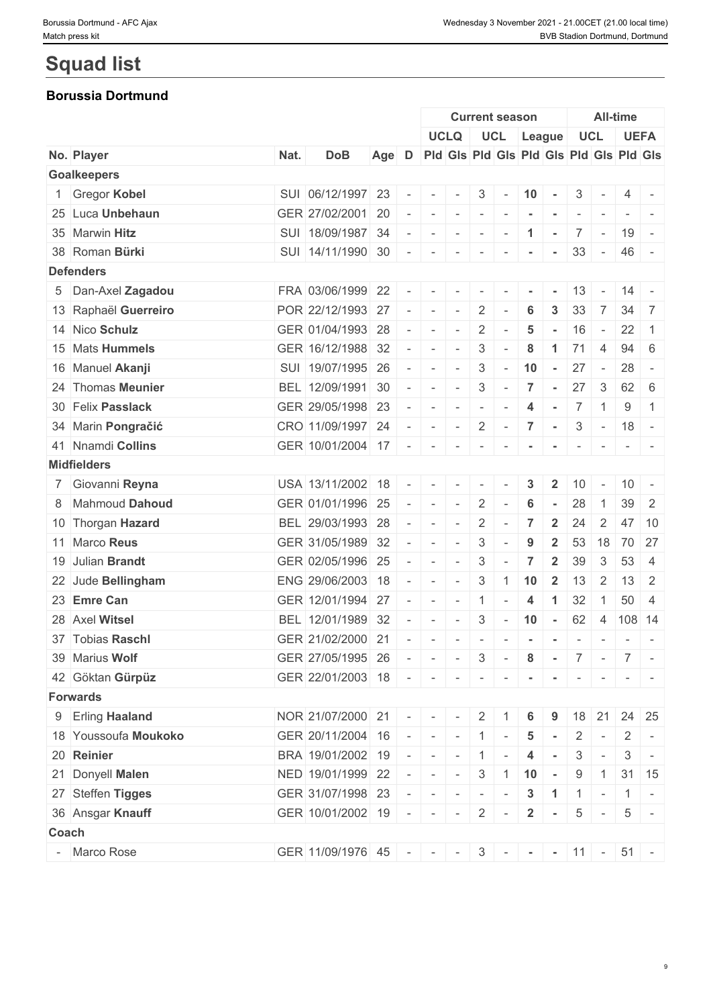# **Squad list**

### **Borussia Dortmund**

|                      |      |                                           |     |        |                          | <b>Current season</b>    |                |                                 |                          | <b>All-time</b>      |                          |                          |                          |                                                                                                                           |
|----------------------|------|-------------------------------------------|-----|--------|--------------------------|--------------------------|----------------|---------------------------------|--------------------------|----------------------|--------------------------|--------------------------|--------------------------|---------------------------------------------------------------------------------------------------------------------------|
|                      |      |                                           |     |        |                          | <b>UCLQ</b>              |                |                                 | UCL League               |                      |                          | <b>UCL</b>               |                          | <b>UEFA</b>                                                                                                               |
| No. Player           | Nat. | <b>DoB</b>                                | Age | D      |                          |                          |                |                                 |                          |                      |                          |                          |                          | Pid Gis Pid Gis Pid Gis Pid Gis Pid Gis                                                                                   |
| <b>Goalkeepers</b>   |      |                                           |     |        |                          |                          |                |                                 |                          |                      |                          |                          |                          |                                                                                                                           |
| 1 Gregor Kobel       |      | SUI 06/12/1997 23                         |     |        | $\overline{\phantom{a}}$ | $\sim$                   | 3              | $\sim$ $-$                      | 10                       | $\sim$               | 3                        |                          | 4                        |                                                                                                                           |
| 25 Luca Unbehaun     |      | GER 27/02/2001 20                         |     |        | $\sim$                   | $\sim$                   | $\sim$         | $\sim$                          | $\overline{\phantom{a}}$ | $\sim$               | $\sim$                   |                          |                          | $\frac{1}{2} \left( \frac{1}{2} \right) \left( \frac{1}{2} \right) \left( \frac{1}{2} \right) \left( \frac{1}{2} \right)$ |
| 35 Marwin Hitz       |      | SUI 18/09/1987 34                         |     |        |                          | $\sim$                   | $\sim$         | $\sim$                          | $\blacktriangleleft$     | $\sim$               |                          | $7$ -                    |                          | $19 -$                                                                                                                    |
| 38 Roman Bürki       |      | SUI 14/11/1990 30                         |     | $\sim$ | $\sim$                   | $\sim$                   | $\sim$         | $\overline{\phantom{a}}$        |                          |                      | 33                       | $\sim$                   |                          | 46 -                                                                                                                      |
| <b>Defenders</b>     |      |                                           |     |        |                          |                          |                |                                 |                          |                      |                          |                          |                          |                                                                                                                           |
| 5 Dan-Axel Zagadou   |      | FRA 03/06/1999 22                         |     |        |                          |                          | $\sim$         |                                 |                          |                      | 13                       |                          | 14                       |                                                                                                                           |
| 13 Raphaël Guerreiro |      | POR 22/12/1993 27                         |     |        | $\sim$                   | $\sim$                   | 2              |                                 | 6                        | 3                    | 33                       | 7                        | 34                       | 7                                                                                                                         |
| 14 Nico Schulz       |      | GER 01/04/1993 28                         |     |        | $\sim$                   | $\sim$                   | $\overline{2}$ | $\overline{\phantom{a}}$        | 5                        | $\sim$               | 16                       | $\sim$                   | 22                       | -1                                                                                                                        |
| 15 Mats Hummels      |      | GER 16/12/1988 32                         |     |        | $\sim$                   | $\sim$                   | 3              | $\sim$                          | 8                        | $\blacktriangleleft$ | 71                       | $\overline{4}$           | 94                       | - 6                                                                                                                       |
| 16 Manuel Akanji     |      | SUI 19/07/1995 26                         |     |        | $\sim$                   | $\sim$                   | $\mathbf{3}$   | $\sim$                          | 10                       | $\sim$               | 27                       | $\sim$                   | 28                       | $\sim$                                                                                                                    |
| 24 Thomas Meunier    |      | BEL 12/09/1991 30                         |     |        | $\sim$                   | $\sim$                   | 3              | $\overline{\phantom{a}}$        | 7                        | $\sim$               | 27                       | $\mathbf{3}$             |                          | $62 \mid 6$                                                                                                               |
| 30 Felix Passlack    |      | GER 29/05/1998 23                         |     |        | $\sim$                   | $\sim$                   | $\sim$         | $\overline{\phantom{a}}$        | 4                        | $\sim$               |                          | $7 \mid 1 \mid$          | 9                        | $\overline{1}$                                                                                                            |
| 34 Marin Pongračić   |      | CRO 11/09/1997 24                         |     | $\sim$ | $\mathbf{1}$             | $\sim$                   | $\overline{2}$ | $\vert$ $\vert$ $\vert$ $\vert$ | $\overline{7}$           | $\sim$ $^{-1}$       |                          | $3 -$                    |                          | $18 -$                                                                                                                    |
| 41 Nnamdi Collins    |      | GER 10/01/2004 17                         |     | $\sim$ | $-$                      | $\sim$                   | $\sim$         | $\overline{\phantom{a}}$        |                          |                      | $\overline{\phantom{a}}$ | $\sim$                   |                          |                                                                                                                           |
| <b>Midfielders</b>   |      |                                           |     |        |                          |                          |                |                                 |                          |                      |                          |                          |                          |                                                                                                                           |
| 7 Giovanni Reyna     |      | USA 13/11/2002 18                         |     |        | $\sim$                   | $\sim$                   | $\sim$         |                                 | 3                        | $\mathbf{2}$         | 10                       |                          |                          | $10 -$                                                                                                                    |
| 8 Mahmoud Dahoud     |      | GER 01/01/1996 25                         |     | $\sim$ | $\sim$                   | $\sim$                   | 2              |                                 | 6                        |                      | 28                       |                          | 39                       | $\overline{2}$                                                                                                            |
| 10 Thorgan Hazard    |      | BEL 29/03/1993 28                         |     |        | $\sim$                   | $\sim$                   | $\overline{2}$ | $\overline{\phantom{a}}$        | $\overline{7}$           | $\overline{2}$       | 24                       | 2                        |                          | 47 10                                                                                                                     |
| 11 Marco Reus        |      | GER 31/05/1989 32                         |     |        | $\sim$                   | $\sim$                   | 3              | $\sim$                          | 9                        | $\overline{2}$       |                          | $53$ 18                  |                          | 70 27                                                                                                                     |
| 19 Julian Brandt     |      | GER 02/05/1996 25                         |     |        | $\overline{\phantom{a}}$ | $\overline{\phantom{a}}$ | 3              |                                 | 7                        | $\mathbf{2}$         | 39                       | 3                        | 53                       | $\overline{4}$                                                                                                            |
| 22 Jude Bellingham   |      | ENG 29/06/2003 18                         |     | $\sim$ | $\sim$                   | $\sim$                   | 3              | $\mathbf{1}$                    | 10                       | $\overline{2}$       | 13                       | $\overline{2}$           | 13                       | $\overline{2}$                                                                                                            |
| 23 Emre Can          |      | GER 12/01/1994 27                         |     |        | $\sim$                   | $\sim$                   | $\mathbf{1}$   | $\sim$                          | $\overline{4}$           | $\mathbf{1}$         | 32                       | $\overline{1}$           | 50                       | $\overline{4}$                                                                                                            |
| 28 Axel Witsel       |      | BEL 12/01/1989 32                         |     |        | $\sim$                   | $\sim$                   | 3              |                                 | $-10$ $-$                |                      |                          |                          | 62 4 108 14              |                                                                                                                           |
| 37 Tobias Raschl     |      | GER 21/02/2000 21                         |     |        | $\sim$                   | $\sim$                   | $\overline{a}$ | $\sim$                          | $\sim$                   | $\sim$               | $\overline{\phantom{a}}$ | $\overline{\phantom{a}}$ | $\sim$                   | $\sim$                                                                                                                    |
| 39 Marius Wolf       |      | GER 27/05/1995 26                         |     |        |                          |                          |                |                                 |                          |                      |                          |                          | $ - - - 3 - 8 - 7 - 7 -$ |                                                                                                                           |
| 42 Göktan Gürpüz     |      | GER 22/01/2003 18                         |     |        | $     -$                 |                          |                | $\sim$                          |                          |                      |                          |                          |                          |                                                                                                                           |
| <b>Forwards</b>      |      |                                           |     |        |                          |                          |                |                                 |                          |                      |                          |                          |                          |                                                                                                                           |
| 9 Erling Haaland     |      | $NOR   21/07/2000   21$ - - -             |     |        |                          |                          | 2 <sup>1</sup> |                                 | 6                        |                      |                          |                          | $18$ 21 24 25            |                                                                                                                           |
| 18 Youssoufa Moukoko |      | GER 20/11/2004 16                         |     |        | $   1$ $-$               |                          |                |                                 | $5\overline{)}$          | $\sim$               | $\overline{2}$           |                          | $-2$                     | $\sim$                                                                                                                    |
| 20 Reinier           |      | BRA 19/01/2002 19                         |     |        | $   1$ $-$               |                          |                |                                 | 4                        | $\sim$               |                          | $3 -$                    | 3                        |                                                                                                                           |
| 21 Donyell Malen     |      | NED 19/01/1999 22                         |     |        | $   3$ 1 10 $-$          |                          |                |                                 |                          |                      | 9                        | $\overline{1}$           |                          | $31 \mid 15$                                                                                                              |
| 27 Steffen Tigges    |      | GER 31/07/1998 23                         |     |        | $      3$ $1$ $1$ $-$    |                          |                |                                 |                          |                      |                          |                          | $1 -$                    |                                                                                                                           |
| 36 Ansgar Knauff     |      | GER 10/01/2002 19                         |     |        | $   2$ $-$               |                          |                |                                 |                          | $2 \cdot$            |                          |                          | $5 - 5 -$                |                                                                                                                           |
| Coach                |      |                                           |     |        |                          |                          |                |                                 |                          |                      |                          |                          |                          |                                                                                                                           |
| - Marco Rose         |      | GER 11/09/1976 45 - - - 3 - - - 11 - 51 - |     |        |                          |                          |                |                                 |                          |                      |                          |                          |                          |                                                                                                                           |
|                      |      |                                           |     |        |                          |                          |                |                                 |                          |                      |                          |                          |                          |                                                                                                                           |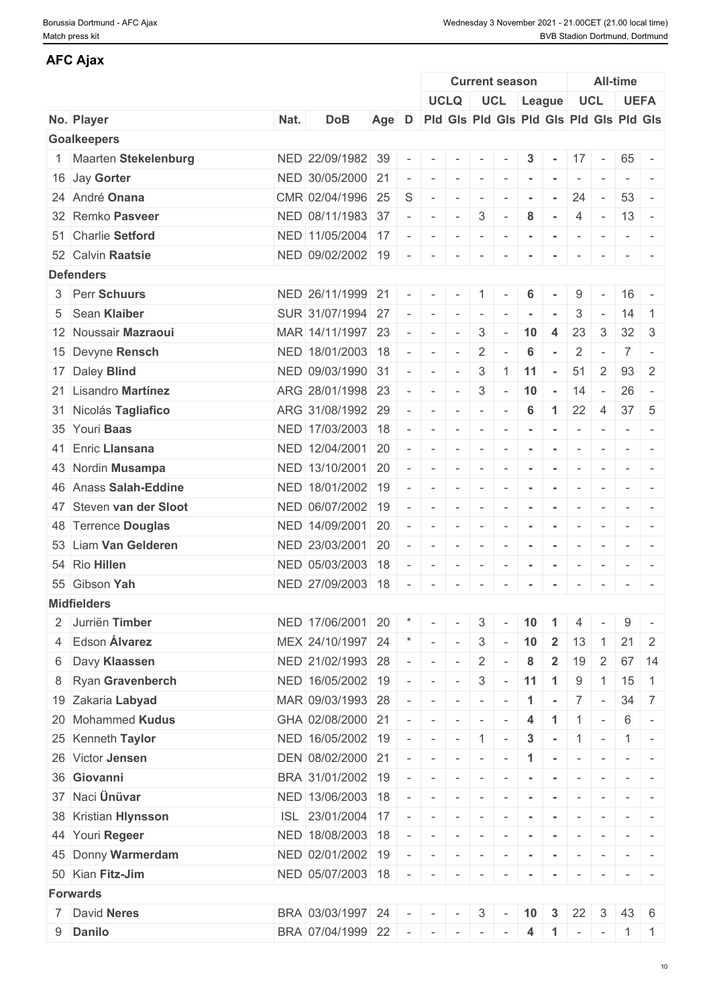#### Borussia Dortmund - AFC Ajax Wednesday 3 November 2021 - 21.00CET (21.00 local time) Match press kit **BVB Stadion Dortmund, Dortmund** BVB Stadion Dortmund, Dortmund

| <b>AFC Ajax</b>         |      |                   |       |                          |                                                                                     |                                                                                                 |                          |        |                                         |                |                          |                          |                                                                                   |                                                                                                              |
|-------------------------|------|-------------------|-------|--------------------------|-------------------------------------------------------------------------------------|-------------------------------------------------------------------------------------------------|--------------------------|--------|-----------------------------------------|----------------|--------------------------|--------------------------|-----------------------------------------------------------------------------------|--------------------------------------------------------------------------------------------------------------|
|                         |      |                   |       |                          |                                                                                     |                                                                                                 | <b>Current season</b>    |        |                                         |                |                          |                          | <b>All-time</b>                                                                   |                                                                                                              |
|                         |      |                   |       |                          |                                                                                     | <b>UCLQ</b>                                                                                     |                          |        | UCL League                              |                | <b>UCL</b>               |                          |                                                                                   | <b>UEFA</b>                                                                                                  |
| No. Player              | Nat. | <b>DoB</b>        | Age D |                          |                                                                                     |                                                                                                 |                          |        | Pid Gis Pid Gis Pid Gis Pid Gis Pid Gis |                |                          |                          |                                                                                   |                                                                                                              |
| <b>Goalkeepers</b>      |      |                   |       |                          |                                                                                     |                                                                                                 |                          |        |                                         |                |                          |                          |                                                                                   |                                                                                                              |
| 1 Maarten Stekelenburg  |      | NED 22/09/1982 39 |       | $\overline{\phantom{a}}$ | $\sim$                                                                              |                                                                                                 |                          |        | 3                                       |                | 17                       | $\sim$                   | 65                                                                                |                                                                                                              |
| 16 Jay Gorter           |      | NED 30/05/2000 21 |       | $\overline{\phantom{a}}$ | $\sim$                                                                              | $\sim$                                                                                          | $\sim$                   |        |                                         |                | $\overline{\phantom{a}}$ |                          |                                                                                   | $\frac{1}{2} \left( \frac{1}{2} \right) \left( \frac{1}{2} \right) = \frac{1}{2} \left( \frac{1}{2} \right)$ |
| 24 André Onana          |      | CMR 02/04/1996 25 |       | S                        | $\overline{\phantom{a}}$                                                            | $\sim$                                                                                          | $\sim$                   | $\sim$ |                                         | $\sim$         | 24                       | $\sim$                   | 53                                                                                | $\overline{a}$                                                                                               |
| 32 Remko Pasveer        |      | NED 08/11/1983 37 |       | $\overline{\phantom{a}}$ | $\sim$                                                                              | $\sim$                                                                                          | 3                        |        | 8                                       | $\sim$         | 4                        | $\sim$                   | $13 -$                                                                            |                                                                                                              |
| 51 Charlie Setford      |      | NED 11/05/2004 17 |       | $\overline{\phantom{a}}$ | $\sim$                                                                              | $\sim$                                                                                          | $\sim$                   |        |                                         |                | $\overline{\phantom{a}}$ | $\sim$                   | $\frac{1}{2} \left( \frac{1}{2} \right) \left( \frac{1}{2} \right) = \frac{1}{2}$ |                                                                                                              |
| 52 Calvin Raatsie       |      | NED 09/02/2002 19 |       | $\overline{\phantom{a}}$ | $\sim$                                                                              | $\sim$                                                                                          | $\sim$                   | $\sim$ | $\blacksquare$                          | $\sim$         | $\overline{\phantom{a}}$ | $\sim$                   |                                                                                   |                                                                                                              |
| <b>Defenders</b>        |      |                   |       |                          |                                                                                     |                                                                                                 |                          |        |                                         |                |                          |                          |                                                                                   |                                                                                                              |
| 3 Perr Schuurs          |      | NED 26/11/1999 21 |       | $\overline{\phantom{a}}$ | $\sim$                                                                              | $\sim$                                                                                          | $\overline{1}$           |        | 6                                       |                | 9                        |                          | $16 -$                                                                            |                                                                                                              |
| 5 Sean Klaiber          |      | SUR 31/07/1994 27 |       | $\overline{\phantom{a}}$ | $\mathcal{L}^{\mathcal{A}}(\mathcal{A})=\mathcal{L}^{\mathcal{A}}(\mathcal{A})$     | $\sim$                                                                                          | $\sim$                   | $\sim$ | $\sim$                                  | $\sim$         | 3                        | $\overline{\phantom{a}}$ | 14                                                                                | $\overline{1}$                                                                                               |
| 12 Noussair Mazraoui    |      | MAR 14/11/1997 23 |       | $\overline{\phantom{a}}$ | $\sim$                                                                              | $\sim$                                                                                          | 3                        | $\sim$ | 10                                      | $\overline{4}$ | 23                       | 3                        | $32 \mid 3$                                                                       |                                                                                                              |
| 15 Devyne Rensch        |      | NED 18/01/2003 18 |       | $\sim$                   | $\sim$                                                                              | $\sim$                                                                                          | $\overline{2}$           |        | 6                                       | $\sim$         | $\overline{2}$           |                          | $\overline{7}$                                                                    | $\sim$                                                                                                       |
| 17 Daley Blind          |      | NED 09/03/1990 31 |       | $\sim$                   | $\sim$                                                                              | $\sim$                                                                                          | 3                        | -1     | 11                                      | $\sim$         | 51                       | 2                        | 93 2                                                                              |                                                                                                              |
| 21 Lisandro Martínez    |      | ARG 28/01/1998 23 |       | $\overline{\phantom{a}}$ | $\sim$                                                                              | $\sim$                                                                                          | 3                        | $\sim$ | 10                                      | $\sim$         | 14                       | $\sim$                   | 26                                                                                | $\sim$                                                                                                       |
| 31 Nicolás Tagliafico   |      | ARG 31/08/1992 29 |       | $\overline{\phantom{a}}$ | $\sim$                                                                              | $\sim$                                                                                          | $\sim$                   |        | 6                                       | $\mathbf{1}$   | 22                       | 4                        | 37                                                                                | - 5                                                                                                          |
| 35 Youri Baas           |      | NED 17/03/2003 18 |       | $\overline{\phantom{a}}$ | $\sim$                                                                              | $\sim$                                                                                          | $\sim$                   | $\sim$ | $\blacksquare$                          | $\sim$         | $\overline{\phantom{a}}$ | $\sim$                   |                                                                                   |                                                                                                              |
| 41 Enric Llansana       |      | NED 12/04/2001 20 |       | $\overline{\phantom{a}}$ | $\sim$                                                                              | $\sim$                                                                                          | $\sim$                   | $\sim$ | $\blacksquare$                          | $\sim$         | $\sim$                   | $\sim$                   |                                                                                   | $\mathcal{L} = \{ \mathcal{L} \mid \mathcal{L} = \mathcal{L} \}$                                             |
| 43 Nordin Musampa       |      | NED 13/10/2001 20 |       | $\sim$                   | $\sim$                                                                              | $\sim$                                                                                          | $\sim$                   |        |                                         |                | $\overline{\phantom{a}}$ |                          | the control of                                                                    |                                                                                                              |
| 46 Anass Salah-Eddine   |      | NED 18/01/2002 19 |       | $\overline{\phantom{a}}$ | $\overline{\phantom{a}}$                                                            | $\overline{\phantom{a}}$                                                                        | $\overline{\phantom{a}}$ |        |                                         |                | $\overline{\phantom{a}}$ |                          | $\overline{\phantom{a}}$                                                          |                                                                                                              |
| 47 Steven van der Sloot |      | NED 06/07/2002 19 |       | $\overline{\phantom{a}}$ | $\sim$                                                                              | $\sim$                                                                                          | $\mathbf{r}$             | $\sim$ | $\blacksquare$                          | $\sim$         | $\overline{\phantom{a}}$ | $\sim$                   |                                                                                   | $ -$                                                                                                         |
| 48 Terrence Douglas     |      | NED 14/09/2001 20 |       |                          | $\sim$                                                                              | $\sim$                                                                                          | $\sim$                   |        |                                         | $\sim$         | $\overline{\phantom{a}}$ | $\sim$                   |                                                                                   | $-1 - -$                                                                                                     |
| 53 Liam Van Gelderen    |      | NED 23/03/2001 20 |       | $\overline{\phantom{a}}$ | $\overline{\phantom{a}}$                                                            |                                                                                                 | $\overline{\phantom{a}}$ |        |                                         |                |                          |                          | $\sim$                                                                            | $\sim$                                                                                                       |
| 54 Rio Hillen           |      | NED 05/03/2003 18 |       | $\overline{\phantom{a}}$ | $\sim$                                                                              | $\sim$                                                                                          | $\sim$                   | $\sim$ | $\sim$                                  | $\sim$         | $\overline{\phantom{a}}$ | $\sim$                   | $\sim$ 100 $\sim$ 100 $\sim$                                                      |                                                                                                              |
| 55 Gibson Yah           |      | NED 27/09/2003 18 |       |                          |                                                                                     | $     -$                                                                                        |                          | $\sim$ | $\sim$                                  | $\sim$         | $\sim$                   | $\sim$                   | $\sim$ $\sim$                                                                     | $\sim$                                                                                                       |
| <b>Midfielders</b>      |      |                   |       |                          |                                                                                     |                                                                                                 |                          |        |                                         |                |                          |                          |                                                                                   |                                                                                                              |
| 2 Jurriën Timber        |      | NED 17/06/2001 20 |       |                          | $\mathcal{F}$ $\mathcal{F}$ $\mathcal{F}$ $\mathcal{F}$ $\mathcal{F}$ $\mathcal{F}$ |                                                                                                 | $3 -$                    |        | $10$ 1                                  |                | $\overline{4}$           |                          | 9                                                                                 | $\sim$                                                                                                       |
| 4 Edson Álvarez         |      | MEX 24/10/1997 24 |       |                          |                                                                                     | $\sim$                                                                                          | 3                        | $\sim$ | 10                                      | $\overline{2}$ | 13                       | $\overline{1}$           | $21 \quad 2$                                                                      |                                                                                                              |
| 6 Davy Klaassen         |      | NED 21/02/1993 28 |       | $\overline{\phantom{a}}$ | $\sim$                                                                              | $\sim$                                                                                          | $\overline{2}$           |        | 8                                       | $\overline{2}$ | 19                       | $\overline{2}$           |                                                                                   | 67 14                                                                                                        |
| 8 Ryan Gravenberch      |      | NED 16/05/2002 19 |       | $\sim$                   | $\sim$                                                                              | $\sim$                                                                                          | 3                        | $\sim$ | 11                                      | $\overline{1}$ | 9                        | $\overline{1}$           | 15                                                                                | $\overline{1}$                                                                                               |
| 19 Zakaria Labyad       |      | MAR 09/03/1993 28 |       | $\overline{\phantom{a}}$ | $\mathbf{r}$                                                                        | $\sim$                                                                                          | $\sim$                   |        | $\blacktriangleleft$                    | $\sim$         | $\overline{7}$           | $\sim$                   | $34 \overline{\smash{\big)}\ 7}$                                                  |                                                                                                              |
| 20 Mohammed Kudus       |      | GHA 02/08/2000 21 |       | $\overline{\phantom{a}}$ | $\sim$                                                                              | $\sim$                                                                                          | $\sim$                   |        | $\overline{4}$                          | $\mathbf{1}$   | $\overline{1}$           | $\sim$                   | 6                                                                                 | $\sim$                                                                                                       |
| 25 Kenneth Taylor       |      | NED 16/05/2002 19 |       | $\overline{\phantom{a}}$ |                                                                                     | $\sim$                                                                                          | $\overline{1}$           |        | $\mathbf{3}$                            | $\sim$         | $\mathbf{1}$             |                          | $\mathbf{1}$                                                                      |                                                                                                              |
| 26 Victor Jensen        |      | DEN 08/02/2000 21 |       |                          | $\sim$                                                                              |                                                                                                 |                          |        |                                         |                |                          | $\overline{\phantom{a}}$ |                                                                                   |                                                                                                              |
| 36 Giovanni             |      |                   |       |                          | $\sim$                                                                              | $\sim$                                                                                          | $\sim$                   |        |                                         | $\sim$         | $\sim$                   |                          | $\sim$ 100 $\sim$ 100 $\sim$                                                      |                                                                                                              |
| 37 Naci Ünüvar          |      | BRA 31/01/2002 19 |       |                          | $\sim$                                                                              | $\sim$                                                                                          | $\sim$                   |        |                                         |                | $\sim$                   | $\sim$                   | $\frac{1}{2} \left( \frac{1}{2} \right) \left( \frac{1}{2} \right) = \frac{1}{2}$ |                                                                                                              |
|                         |      | NED 13/06/2003 18 |       |                          | $\overline{\phantom{a}}$                                                            |                                                                                                 |                          |        |                                         |                |                          |                          |                                                                                   |                                                                                                              |
| 38 Kristian Hlynsson    |      | ISL 23/01/2004 17 |       | $\overline{\phantom{a}}$ | $\sim$                                                                              | $\sim$                                                                                          | $\sim$                   |        |                                         | $\sim$         |                          |                          | $-1$                                                                              |                                                                                                              |
| 44 Youri Regeer         |      | NED 18/08/2003 18 |       |                          |                                                                                     | $\sim$                                                                                          | $\sim$                   |        |                                         |                | $\sim$                   | $\overline{\phantom{a}}$ |                                                                                   | $\mathcal{L} = \{ \mathcal{L} \mid \mathcal{L} = \mathcal{L} \}$                                             |
| 45 Donny Warmerdam      |      | NED 02/01/2002 19 |       |                          | $\sim$                                                                              |                                                                                                 |                          |        |                                         |                |                          |                          |                                                                                   |                                                                                                              |
| 50 Kian Fitz-Jim        |      | NED 05/07/2003 18 |       | $\overline{\phantom{a}}$ | $\sim$                                                                              |                                                                                                 |                          |        |                                         |                |                          |                          |                                                                                   |                                                                                                              |
| <b>Forwards</b>         |      |                   |       |                          |                                                                                     |                                                                                                 |                          |        |                                         |                |                          |                          |                                                                                   |                                                                                                              |
| 7 David Neres           |      | BRA 03/03/1997 24 |       | $\overline{\phantom{a}}$ | $\sim$                                                                              | $\sim$                                                                                          | $\mathbf{3}$             | $\sim$ | 10                                      | $\mathbf{3}$   | 22                       | 3                        | 43 6                                                                              |                                                                                                              |
| 9 Danilo                |      | BRA 07/04/1999 22 |       |                          |                                                                                     | $\mathcal{A}^{\mathcal{A}}$ , and $\mathcal{A}^{\mathcal{A}}$ , and $\mathcal{A}^{\mathcal{A}}$ |                          | $\sim$ | 4                                       |                | $1 - -11$                |                          |                                                                                   |                                                                                                              |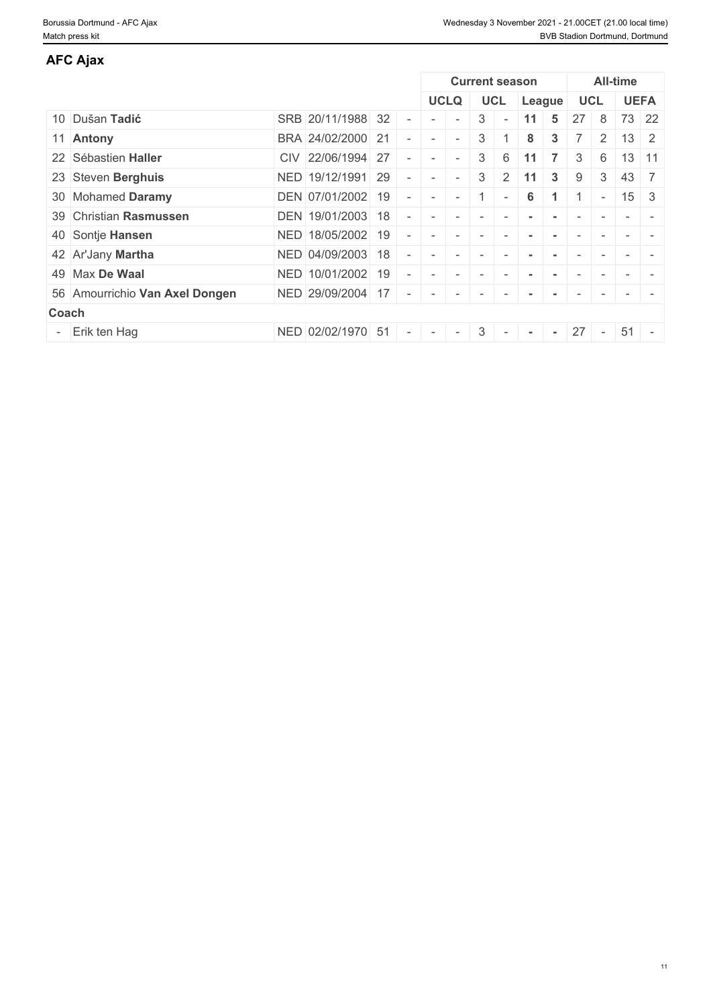| AFC Ajax                       |                     |  |             |                |                          |        |              |    |                       |                 |              |
|--------------------------------|---------------------|--|-------------|----------------|--------------------------|--------|--------------|----|-----------------------|-----------------|--------------|
|                                |                     |  |             |                | <b>Current season</b>    |        |              |    |                       | <b>All-time</b> |              |
|                                |                     |  | <b>UCLQ</b> |                | <b>UCL</b>               |        | League       |    | <b>UCL</b>            |                 | <b>UEFA</b>  |
| 10 Dušan Tadić                 | SRB 20/11/1988 32   |  |             | 3              | $\overline{\phantom{a}}$ | 11     | 5.           | 27 | 8                     |                 | 73 22        |
| 11 Antony                      | BRA 24/02/2000 21   |  | $\sim$      | 3              |                          | 8      | 3            |    | $\mathbf{2}^{\prime}$ |                 | $13 \mid 2$  |
| 22 Sébastien Haller            | CIV 22/06/1994 27   |  |             | 3 <sup>1</sup> | 6                        |        |              | 3  | 6                     |                 | $13 \mid 11$ |
| 23 Steven Berghuis             | NED   19/12/1991 29 |  | $\sim$      | 3 <sup>1</sup> | 2                        | 11     | $\mathbf{3}$ | 9  | 3                     | 43              |              |
| 30 Mohamed Daramy              | DEN 07/01/2002 19   |  |             |                |                          | 6      |              |    | $\sim$                | 15              | -3           |
| 39 Christian Rasmussen         | DEN 19/01/2003 18   |  |             |                |                          |        |              |    |                       |                 |              |
| 40 Sontje Hansen               | NED 18/05/2002 19   |  |             |                |                          |        |              |    |                       |                 |              |
| 42 Ar'Jany Martha              | NED 04/09/2003 18   |  |             |                |                          |        |              |    |                       |                 |              |
| 49 Max De Waal                 | NED 10/01/2002 19   |  |             |                |                          |        |              |    |                       |                 |              |
| 56 Amourrichio Van Axel Dongen | NED 29/09/2004 17   |  |             |                |                          |        |              |    |                       |                 |              |
| Coach                          |                     |  |             |                |                          |        |              |    |                       |                 |              |
| - Erik ten Hag                 | NED 02/02/1970 51   |  |             | 3 <sup>1</sup> | $\sim$                   | $\sim$ | $\sim$       |    | $27 -$                |                 | $51 -$       |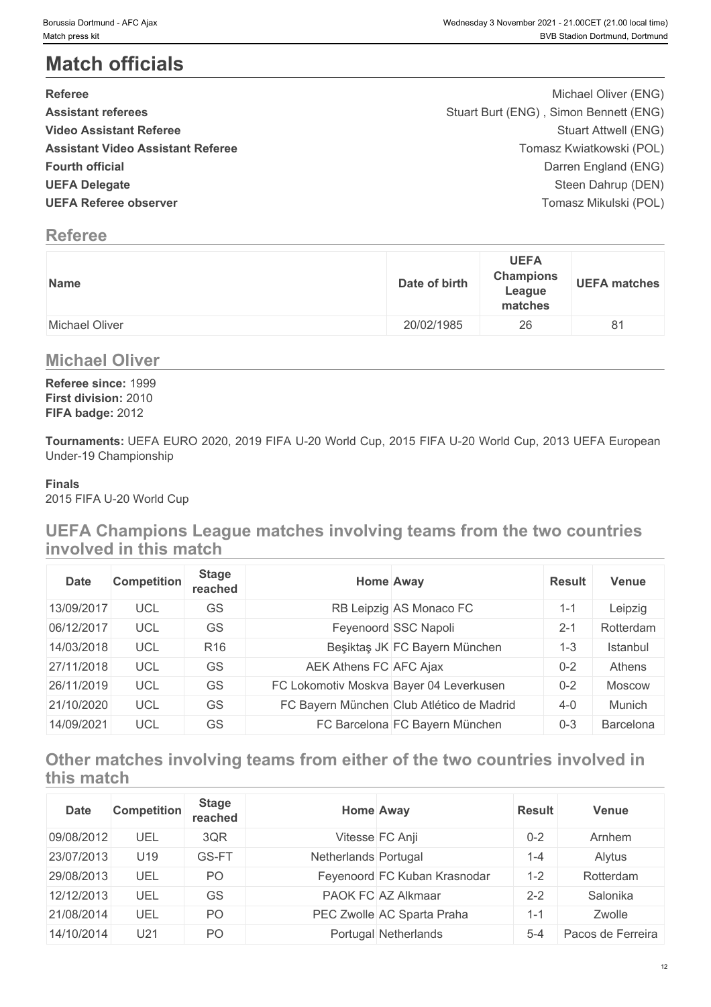# **Match officials**

| <b>Referee</b>                           | Michael Oliver (ENG)                   |  |
|------------------------------------------|----------------------------------------|--|
| <b>Assistant referees</b>                | Stuart Burt (ENG), Simon Bennett (ENG) |  |
| <b>Video Assistant Referee</b>           | Stuart Attwell (ENG)                   |  |
| <b>Assistant Video Assistant Referee</b> | Tomasz Kwiatkowski (POL)               |  |
| <b>Fourth official</b>                   | Darren England (ENG)                   |  |
| <b>UEFA Delegate</b>                     | Steen Dahrup (DEN)                     |  |
| <b>UEFA Referee observer</b>             | Tomasz Mikulski (POL)                  |  |

### **Referee**

| Date of birth<br><b>Name</b> | <b>UEFA</b><br><b>Champions</b><br><b>UEFA matches</b><br>League<br>matches |
|------------------------------|-----------------------------------------------------------------------------|
| 20/02/1985<br>Michael Oliver | 26<br>O <sub>1</sub><br>$\circ$                                             |

### **Michael Oliver**

**Referee since:** 1999 **First division:** 2010 **FIFA badge:** 2012

**Tournaments:** UEFA EURO 2020, 2019 FIFA U-20 World Cup, 2015 FIFA U-20 World Cup, 2013 UEFA European Under-19 Championship

### **Finals**

2015 FIFA U-20 World Cup

### **UEFA Champions League matches involving teams from the two countries involved in this match**

| <b>Date</b> | <b>Competition</b> | <b>Stage</b><br>reached |                                         | <b>Home Away</b>                          | <b>Result</b> | <b>Venue</b> |
|-------------|--------------------|-------------------------|-----------------------------------------|-------------------------------------------|---------------|--------------|
| 13/09/2017  | <b>UCL</b>         | GS                      |                                         | RB Leipzig AS Monaco FC                   | $1 - 1$       | Leipzig      |
| 06/12/2017  | <b>UCL</b>         | GS                      |                                         | Feyenoord SSC Napoli                      | $2 - 1$       | Rotterdam    |
| 14/03/2018  | <b>UCL</b>         | R <sub>16</sub>         |                                         | Beşiktaş JK FC Bayern München             | $1 - 3$       | Istanbul     |
| 27/11/2018  | <b>UCL</b>         | GS                      | AEK Athens FC AFC Ajax                  |                                           | $0 - 2$       | Athens       |
| 26/11/2019  | <b>UCL</b>         | GS                      | FC Lokomotiv Moskva Bayer 04 Leverkusen |                                           | $0 - 2$       | Moscow       |
| 21/10/2020  | <b>UCL</b>         | GS                      |                                         | FC Bayern München Club Atlético de Madrid | $4 - 0$       | Munich       |
| 14/09/2021  | <b>UCL</b>         | GS                      |                                         | FC Barcelona FC Bayern München            | $0 - 3$       | Barcelona    |

## **Other matches involving teams from either of the two countries involved in this match**

| <b>Date</b> | Competition | <b>Stage</b><br>reached | <b>Home Away</b>             | <b>Result</b> | <b>Venue</b>      |
|-------------|-------------|-------------------------|------------------------------|---------------|-------------------|
| 09/08/2012  | UEL         | 3QR                     | Vitesse FC Anji              | $0 - 2$       | Arnhem            |
| 23/07/2013  | U19         | GS-FT                   | Netherlands Portugal         | 1-4           | Alytus            |
| 29/08/2013  | UEL         | PO                      | Feyenoord FC Kuban Krasnodar | $1 - 2$       | Rotterdam         |
| 12/12/2013  | UEL         | GS                      | PAOK FC AZ Alkmaar           | $2 - 2$       | Salonika          |
| 21/08/2014  | UEL         | PO                      | PEC Zwolle AC Sparta Praha   | $1-1$         | Zwolle            |
| 14/10/2014  | U21         | PO                      | Portugal Netherlands         | $5 - 4$       | Pacos de Ferreira |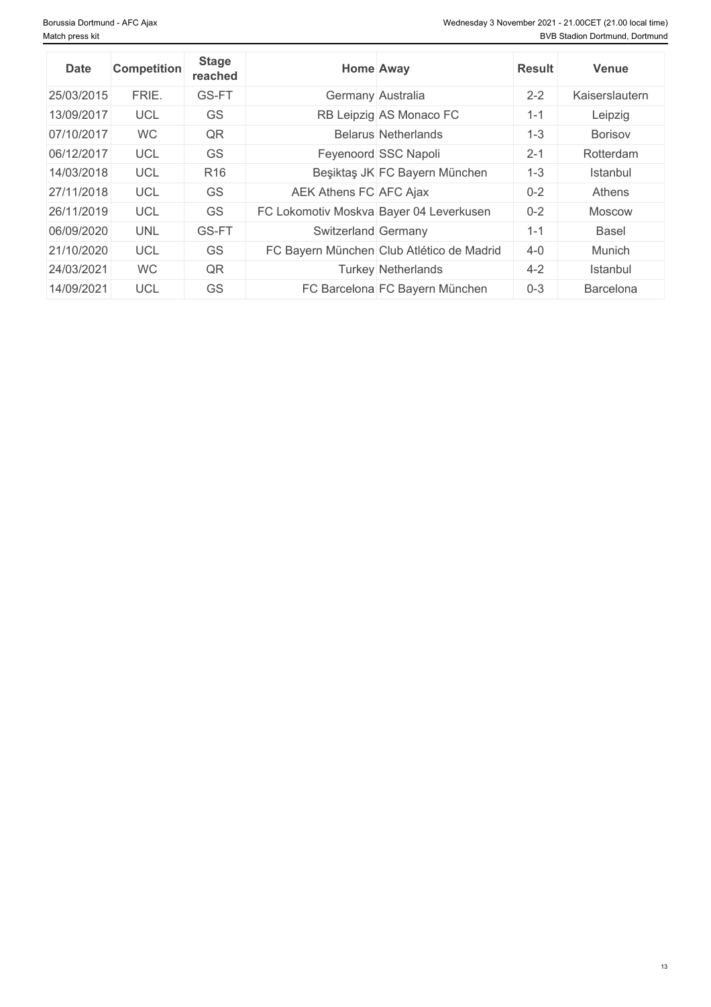| <b>Date</b> | <b>Competition</b> | <b>Stage</b><br>reached | <b>Home Away</b>                          | <b>Result</b> | <b>Venue</b>   |
|-------------|--------------------|-------------------------|-------------------------------------------|---------------|----------------|
| 25/03/2015  | FRIE.              | GS-FT                   | Germany Australia                         | $2 - 2$       | Kaiserslautern |
| 13/09/2017  | <b>UCL</b>         | GS                      | RB Leipzig AS Monaco FC                   | $1 - 1$       | Leipzig        |
| 07/10/2017  | <b>WC</b>          | QR                      | <b>Belarus Netherlands</b>                | $1 - 3$       | <b>Borisov</b> |
| 06/12/2017  | <b>UCL</b>         | GS                      | Feyenoord SSC Napoli                      | $2 - 1$       | Rotterdam      |
| 14/03/2018  | <b>UCL</b>         | R <sub>16</sub>         | Beşiktaş JK FC Bayern München             | $1 - 3$       | Istanbul       |
| 27/11/2018  | <b>UCL</b>         | <b>GS</b>               | AEK Athens FC AFC Ajax                    | $0 - 2$       | Athens         |
| 26/11/2019  | <b>UCL</b>         | GS                      | FC Lokomotiv Moskva Bayer 04 Leverkusen   | $0 - 2$       | Moscow         |
| 06/09/2020  | <b>UNL</b>         | GS-FT                   | Switzerland Germany                       | $1 - 1$       | Basel          |
| 21/10/2020  | <b>UCL</b>         | GS                      | FC Bayern München Club Atlético de Madrid | $4 - 0$       | Munich         |
| 24/03/2021  | <b>WC</b>          | QR                      | <b>Turkey Netherlands</b>                 | $4 - 2$       | Istanbul       |
| 14/09/2021  | <b>UCL</b>         | GS                      | FC Barcelona FC Bayern München            | $0 - 3$       | Barcelona      |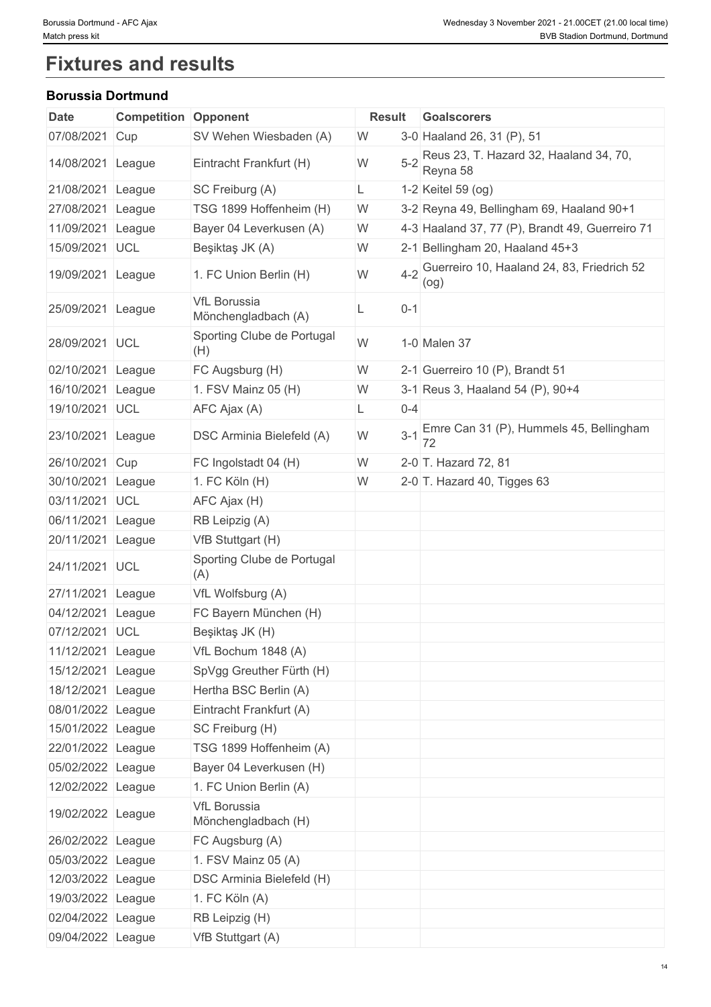# **Fixtures and results**

### **Borussia Dortmund**

| <b>Date</b>       | <b>Competition Opponent</b> |                                            | <b>Result</b> |         | Goalscorers                                            |
|-------------------|-----------------------------|--------------------------------------------|---------------|---------|--------------------------------------------------------|
| 07/08/2021 Cup    |                             | SV Wehen Wiesbaden (A)                     | W             |         | 3-0 Haaland 26, 31 (P), 51                             |
| 14/08/2021 League |                             | Eintracht Frankfurt (H)                    | W             |         | 5-2 Reus 23, T. Hazard 32, Haaland 34, 70,<br>Reyna 58 |
| 21/08/2021 League |                             | SC Freiburg (A)                            | L             |         | 1-2 Keitel 59 (og)                                     |
| 27/08/2021 League |                             | TSG 1899 Hoffenheim (H)                    | W             |         | 3-2 Reyna 49, Bellingham 69, Haaland 90+1              |
| 11/09/2021 League |                             | Bayer 04 Leverkusen (A)                    | W             |         | 4-3 Haaland 37, 77 (P), Brandt 49, Guerreiro 71        |
| 15/09/2021 UCL    |                             | Beşiktaş JK (A)                            | W             |         | 2-1 Bellingham 20, Haaland 45+3                        |
| 19/09/2021 League |                             | 1. FC Union Berlin (H)                     | W             |         | 4-2 Guerreiro 10, Haaland 24, 83, Friedrich 52<br>(og) |
| 25/09/2021 League |                             | <b>VfL Borussia</b><br>Mönchengladbach (A) |               | $0 - 1$ |                                                        |
| 28/09/2021 UCL    |                             | Sporting Clube de Portugal<br>(H)          | W             |         | 1-0 Malen 37                                           |
| 02/10/2021 League |                             | FC Augsburg (H)                            | W             |         | 2-1 Guerreiro 10 (P), Brandt 51                        |
| 16/10/2021 League |                             | 1. FSV Mainz 05 $(H)$                      | W             |         | 3-1 Reus 3, Haaland 54 (P), 90+4                       |
| 19/10/2021 UCL    |                             | AFC Ajax (A)                               |               | $0 - 4$ |                                                        |
| 23/10/2021 League |                             | <b>DSC Arminia Bielefeld (A)</b>           | W             |         | 3-1 Emre Can 31 (P), Hummels 45, Bellingham<br>72      |
| 26/10/2021 Cup    |                             | FC Ingolstadt 04 (H)                       | W             |         | 2-0 T. Hazard 72, 81                                   |
| 30/10/2021 League |                             | 1. FC Köln (H)                             | W             |         | 2-0 $\vert$ T. Hazard 40, Tigges 63                    |
| 03/11/2021 UCL    |                             | AFC Ajax (H)                               |               |         |                                                        |
| 06/11/2021 League |                             | RB Leipzig (A)                             |               |         |                                                        |
| 20/11/2021 League |                             | VfB Stuttgart (H)                          |               |         |                                                        |
| 24/11/2021 UCL    |                             | Sporting Clube de Portugal<br>(A)          |               |         |                                                        |
| 27/11/2021 League |                             | VfL Wolfsburg (A)                          |               |         |                                                        |
| 04/12/2021 League |                             | FC Bayern München (H)                      |               |         |                                                        |
| 07/12/2021 UCL    |                             | Beşiktaş JK (H)                            |               |         |                                                        |
| 11/12/2021 League |                             | VfL Bochum 1848 (A)                        |               |         |                                                        |
| 15/12/2021 League |                             | SpVgg Greuther Fürth (H)                   |               |         |                                                        |
| 18/12/2021 League |                             | Hertha BSC Berlin (A)                      |               |         |                                                        |
| 08/01/2022 League |                             | Eintracht Frankfurt (A)                    |               |         |                                                        |
| 15/01/2022 League |                             | SC Freiburg (H)                            |               |         |                                                        |
| 22/01/2022 League |                             | TSG 1899 Hoffenheim (A)                    |               |         |                                                        |
| 05/02/2022 League |                             | Bayer 04 Leverkusen (H)                    |               |         |                                                        |
| 12/02/2022 League |                             | 1. FC Union Berlin (A)                     |               |         |                                                        |
| 19/02/2022 League |                             | <b>VfL Borussia</b><br>Mönchengladbach (H) |               |         |                                                        |
| 26/02/2022 League |                             | FC Augsburg (A)                            |               |         |                                                        |
| 05/03/2022 League |                             | 1. FSV Mainz 05 (A)                        |               |         |                                                        |
| 12/03/2022 League |                             | <b>DSC Arminia Bielefeld (H)</b>           |               |         |                                                        |
| 19/03/2022 League |                             | 1. FC Köln (A)                             |               |         |                                                        |
| 02/04/2022 League |                             | RB Leipzig (H)                             |               |         |                                                        |
| 09/04/2022 League |                             |                                            |               |         |                                                        |
|                   |                             | VfB Stuttgart (A)                          |               |         |                                                        |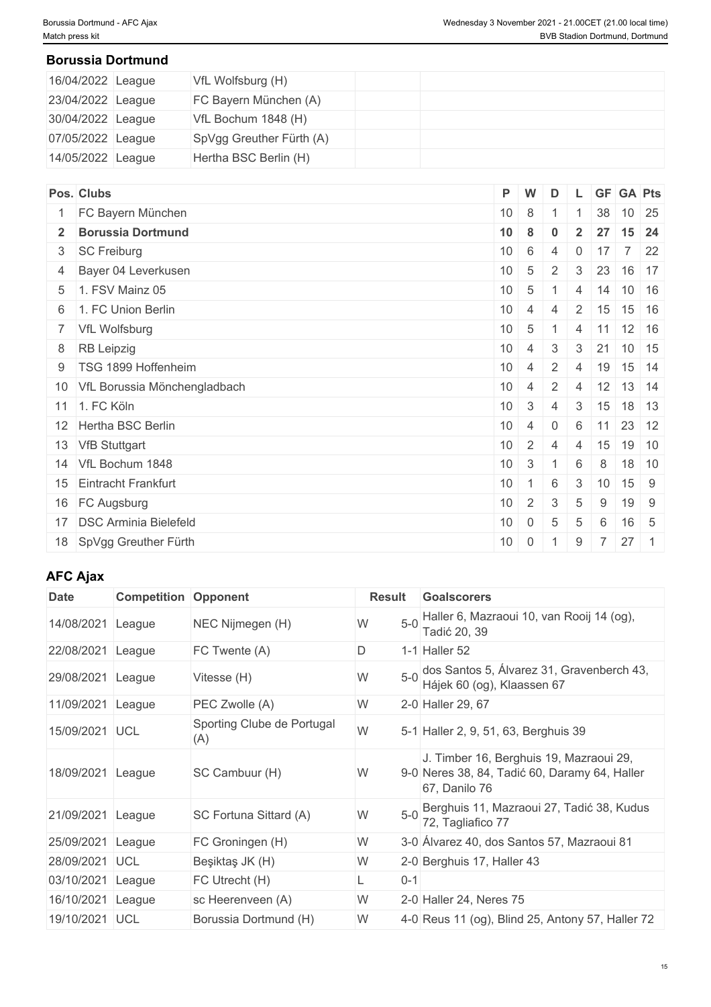### **Borussia Dortmund**

| 16/04/2022 League | VfL Wolfsburg (H)        |  |
|-------------------|--------------------------|--|
| 23/04/2022 League | FC Bayern München (A)    |  |
| 30/04/2022 League | VfL Bochum 1848 (H)      |  |
| 07/05/2022 League | SpVgg Greuther Fürth (A) |  |
| 14/05/2022 League | Hertha BSC Berlin (H)    |  |

|                                                                                                                                                                                                                                                                                                                                                                                                                                        |                | D                                                                                             |                          |                |                       |                                                                                                                                                |
|----------------------------------------------------------------------------------------------------------------------------------------------------------------------------------------------------------------------------------------------------------------------------------------------------------------------------------------------------------------------------------------------------------------------------------------|----------------|-----------------------------------------------------------------------------------------------|--------------------------|----------------|-----------------------|------------------------------------------------------------------------------------------------------------------------------------------------|
|                                                                                                                                                                                                                                                                                                                                                                                                                                        |                |                                                                                               |                          |                | $10 \mid 25$          |                                                                                                                                                |
|                                                                                                                                                                                                                                                                                                                                                                                                                                        |                | $\bf{0}$                                                                                      | $\overline{2}$           |                |                       | $15$ 24                                                                                                                                        |
|                                                                                                                                                                                                                                                                                                                                                                                                                                        |                | $\overline{4}$                                                                                | $\Omega$                 |                |                       | $7 \quad 22$                                                                                                                                   |
| 10 <sup>°</sup>                                                                                                                                                                                                                                                                                                                                                                                                                        | 5              | 2                                                                                             | 3                        |                |                       | 16 17                                                                                                                                          |
| 10                                                                                                                                                                                                                                                                                                                                                                                                                                     |                |                                                                                               | 4                        |                |                       |                                                                                                                                                |
|                                                                                                                                                                                                                                                                                                                                                                                                                                        |                | 4                                                                                             |                          |                |                       |                                                                                                                                                |
|                                                                                                                                                                                                                                                                                                                                                                                                                                        |                |                                                                                               | $\overline{4}$           |                |                       |                                                                                                                                                |
| 10                                                                                                                                                                                                                                                                                                                                                                                                                                     |                | $\mathbf{3}$                                                                                  |                          |                |                       |                                                                                                                                                |
| 10 <sup>1</sup>                                                                                                                                                                                                                                                                                                                                                                                                                        | $\overline{4}$ | $\overline{2}$                                                                                | $\overline{4}$           |                | 15 14                 |                                                                                                                                                |
| 10 <sup>1</sup>                                                                                                                                                                                                                                                                                                                                                                                                                        | $\overline{4}$ | 2                                                                                             | $\overline{4}$           |                |                       |                                                                                                                                                |
| 10                                                                                                                                                                                                                                                                                                                                                                                                                                     | $\mathbf{3}$   | 4                                                                                             | 3                        |                |                       |                                                                                                                                                |
| 10                                                                                                                                                                                                                                                                                                                                                                                                                                     | $\overline{4}$ | $\overline{0}$                                                                                | 6                        |                | 23 12                 |                                                                                                                                                |
| 10 <sup>°</sup>                                                                                                                                                                                                                                                                                                                                                                                                                        | 2              | $\overline{4}$                                                                                | $\overline{4}$           |                |                       | $19$ 10                                                                                                                                        |
| 10 <sup>°</sup>                                                                                                                                                                                                                                                                                                                                                                                                                        | 3              |                                                                                               | 6                        | 8              |                       | $18$ 10                                                                                                                                        |
| 10                                                                                                                                                                                                                                                                                                                                                                                                                                     | $\overline{1}$ | 6                                                                                             | 3                        |                | $15 \quad 9$          |                                                                                                                                                |
| 10                                                                                                                                                                                                                                                                                                                                                                                                                                     | $\overline{2}$ | 3                                                                                             | 5                        | 9              | 19 9                  |                                                                                                                                                |
| 10                                                                                                                                                                                                                                                                                                                                                                                                                                     | $\overline{0}$ | 5                                                                                             | 5                        | 6              | $16 \quad 5$          |                                                                                                                                                |
| 10                                                                                                                                                                                                                                                                                                                                                                                                                                     |                |                                                                                               | 9                        | $\overline{7}$ | $27 \quad 1$          |                                                                                                                                                |
| Pos. Clubs<br>1 FC Bayern München<br>2 Borussia Dortmund<br>3 SC Freiburg<br>4 Bayer 04 Leverkusen<br>5 1. FSV Mainz 05<br>6 1. FC Union Berlin<br>7 VfL Wolfsburg<br>8 RB Leipzig<br>9   TSG 1899 Hoffenheim<br>10 VfL Borussia Mönchengladbach<br>11 1. FC Köln<br>12 Hertha BSC Berlin<br>13 VfB Stuttgart<br>14 VfL Bochum 1848<br>15 Eintracht Frankfurt<br>16 FC Augsburg<br>17 DSC Arminia Bielefeld<br>18 SpVgg Greuther Fürth | 10             | P W<br>$10 \quad 8$<br>8<br>$10 \quad 6$<br>$10 \mid 4 \mid$<br>$10 \mid 5$<br>$\overline{4}$ | $5 -$<br>$0 \mid 1 \mid$ |                | 27<br>17<br> 11<br>10 | L GF GA Pts<br>38<br>23<br>$14$ 10 16<br>2   15   15   16<br>$11$ 12 16<br>$3 \mid 21 \mid 10 \mid 15$<br>19<br>$12$ 13 14<br>$15$ 18 13<br>15 |

### **AFC Ajax**

| <b>Date</b>    | <b>Competition Opponent</b> |                                   | Result     | Goalscorers                                                                                               |
|----------------|-----------------------------|-----------------------------------|------------|-----------------------------------------------------------------------------------------------------------|
| 14/08/2021     | League                      | NEC Nijmegen (H)                  | $5-0$<br>W | Haller 6, Mazraoui 10, van Rooij 14 (og),<br>Tadić 20, 39                                                 |
| 22/08/2021     | League                      | FC Twente (A)                     | D          | 1-1 Haller 52                                                                                             |
| 29/08/2021     | League                      | Vitesse (H)                       | $5-0$<br>W | dos Santos 5, Álvarez 31, Gravenberch 43,<br>Hájek 60 (og), Klaassen 67                                   |
| 11/09/2021     | League                      | PEC Zwolle (A)                    | W          | 2-0 Haller 29, 67                                                                                         |
| 15/09/2021 UCL |                             | Sporting Clube de Portugal<br>(A) | W          | 5-1 Haller 2, 9, 51, 63, Berghuis 39                                                                      |
| 18/09/2021     | League                      | SC Cambuur (H)                    | W          | J. Timber 16, Berghuis 19, Mazraoui 29,<br>9-0 Neres 38, 84, Tadić 60, Daramy 64, Haller<br>67, Danilo 76 |
| 21/09/2021     | League                      | SC Fortuna Sittard (A)            | $5-0$<br>W | Berghuis 11, Mazraoui 27, Tadić 38, Kudus<br>72, Tagliafico 77                                            |
| 25/09/2021     | League                      | FC Groningen (H)                  | W          | 3-0 Álvarez 40, dos Santos 57, Mazraoui 81                                                                |
| 28/09/2021     | <b>UCL</b>                  | Beşiktaş JK (H)                   | W          | 2-0 Berghuis 17, Haller 43                                                                                |
| 03/10/2021     | League                      | FC Utrecht (H)                    | $0 - 1$    |                                                                                                           |
| 16/10/2021     | League                      | sc Heerenveen (A)                 | W          | 2-0 Haller 24, Neres 75                                                                                   |
| 19/10/2021 UCL |                             | Borussia Dortmund (H)             | W          | 4-0 Reus 11 (og), Blind 25, Antony 57, Haller 72                                                          |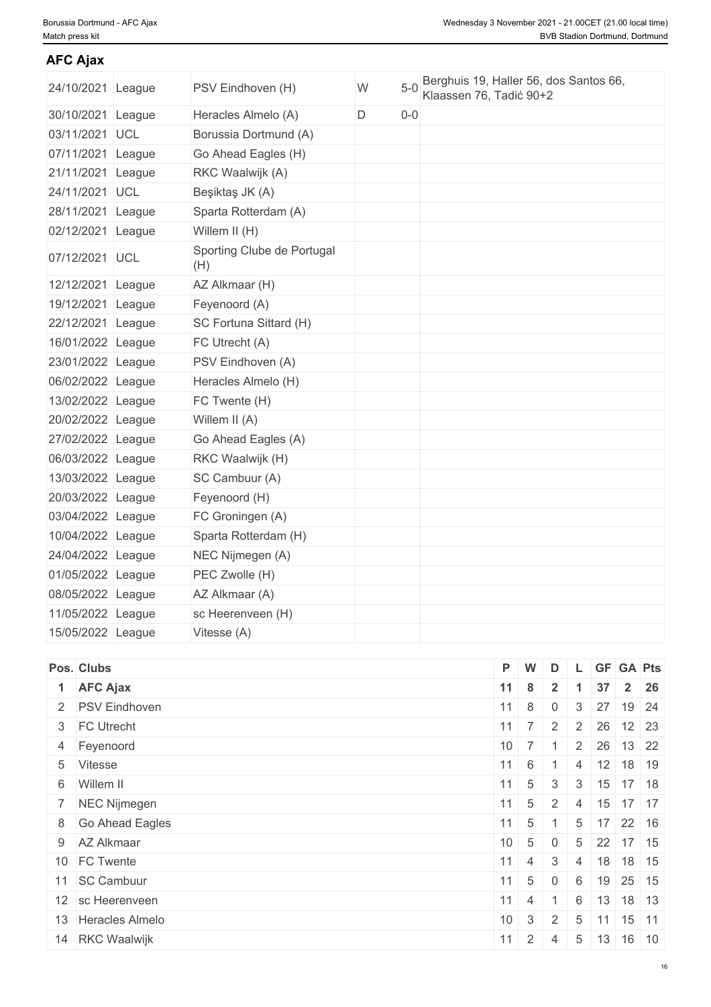### **AFC Ajax**

| 24/10/2021 League | PSV Eindhoven (H)                 | W | $5-0$ |
|-------------------|-----------------------------------|---|-------|
| 30/10/2021 League | Heracles Almelo (A)               | D | $0-0$ |
| 03/11/2021 UCL    | Borussia Dortmund (A)             |   |       |
| 07/11/2021 League | Go Ahead Eagles (H)               |   |       |
| 21/11/2021 League | RKC Waalwijk (A)                  |   |       |
| 24/11/2021 UCL    | Beşiktaş JK (A)                   |   |       |
| 28/11/2021 League | Sparta Rotterdam (A)              |   |       |
| 02/12/2021 League | Willem II (H)                     |   |       |
| 07/12/2021 UCL    | Sporting Clube de Portugal<br>(H) |   |       |
| 12/12/2021 League | AZ Alkmaar (H)                    |   |       |
| 19/12/2021 League | Feyenoord (A)                     |   |       |
| 22/12/2021 League | SC Fortuna Sittard (H)            |   |       |
| 16/01/2022 League | FC Utrecht (A)                    |   |       |
| 23/01/2022 League | PSV Eindhoven (A)                 |   |       |
| 06/02/2022 League | Heracles Almelo (H)               |   |       |
| 13/02/2022 League | FC Twente (H)                     |   |       |
| 20/02/2022 League | Willem II (A)                     |   |       |
| 27/02/2022 League | Go Ahead Eagles (A)               |   |       |
| 06/03/2022 League | RKC Waalwijk (H)                  |   |       |
| 13/03/2022 League | SC Cambuur (A)                    |   |       |
| 20/03/2022 League | Feyenoord (H)                     |   |       |
| 03/04/2022 League | FC Groningen (A)                  |   |       |
| 10/04/2022 League | Sparta Rotterdam (H)              |   |       |
| 24/04/2022 League | NEC Nijmegen (A)                  |   |       |
| 01/05/2022 League | PEC Zwolle (H)                    |   |       |
| 08/05/2022 League | AZ Alkmaar (A)                    |   |       |
| 11/05/2022 League | sc Heerenveen (H)                 |   |       |
| 15/05/2022 League | Vitesse (A)                       |   |       |
|                   |                                   |   |       |

| Pos. Clubs         | P W |                                | D        |                 |            | L GF GA Pts                                       |
|--------------------|-----|--------------------------------|----------|-----------------|------------|---------------------------------------------------|
| 1 AFC Ajax         |     |                                |          |                 |            | $11 \mid 8 \mid 2 \mid 1 \mid 37 \mid 2 \mid 26$  |
| 2 PSV Eindhoven    |     |                                |          |                 |            | $11 \mid 8 \mid 0 \mid 3 \mid 27 \mid 19 \mid 24$ |
| 3 FC Utrecht       |     |                                |          |                 |            | $11 \mid 7 \mid 2 \mid 2 \mid 26 \mid 12 \mid 23$ |
| 4 Feyenoord        |     |                                |          |                 |            | $10 \mid 7 \mid 1 \mid 2 \mid 26 \mid 13 \mid 22$ |
| 5 Vitesse          |     |                                |          |                 |            | $11 \mid 6 \mid 1 \mid 4 \mid 12 \mid 18 \mid 19$ |
| 6 Willem II        |     |                                |          |                 |            | $11 \mid 5 \mid 3 \mid 3 \mid 15 \mid 17 \mid 18$ |
| 7 NEC Nijmegen     |     |                                |          |                 |            | $11 \mid 5 \mid 2 \mid 4 \mid 15 \mid 17 \mid 17$ |
| 8 Go Ahead Eagles  |     |                                |          |                 |            | $11 \mid 5 \mid 1 \mid 5 \mid 17 \mid 22 \mid 16$ |
| 9 AZ Alkmaar       |     | $10 \mid 5 \mid 0$             |          |                 |            | $5 \mid 22 \mid 17 \mid 15$                       |
| 10 FC Twente       |     | $11 \mid 4 \mid 3 \mid 4 \mid$ |          |                 |            | $18$ 18 15                                        |
| 11 SC Cambuur      |     | $11 \quad 5$                   | $\Omega$ | - 6             |            | $19$ 25 15                                        |
| 12 sc Heerenveen   |     | $11 \mid 4 \mid 1$             |          | $6 \frac{1}{2}$ |            | $13$ 18 13                                        |
| 13 Heracles Almelo |     | $10 \mid 3 \mid 2 \mid$        |          | 5               | $\vert$ 11 | 15 11                                             |
| 14 RKC Waalwijk    |     | $11 \mid 2 \mid$               | 4        | 5               |            | $13 \mid 16 \mid 10$                              |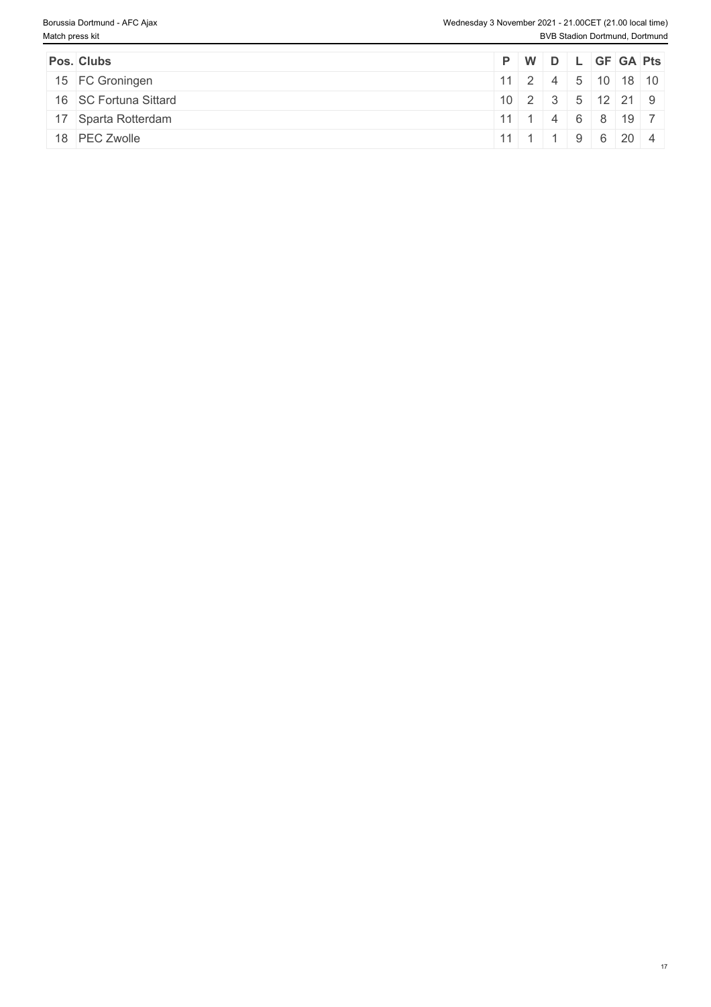| Pos. Clubs            |  |  | P W D L GF GA Pts              |  |
|-----------------------|--|--|--------------------------------|--|
| 15 FC Groningen       |  |  | 112245101301                   |  |
| 16 SC Fortuna Sittard |  |  | $10$   2   3   5   12   21   9 |  |
| 17 Sparta Rotterdam   |  |  | $11$ 1 4 6 8 19 7              |  |
| 18 PEC Zwolle         |  |  | $11$ 1 1 1 9 6 20 4            |  |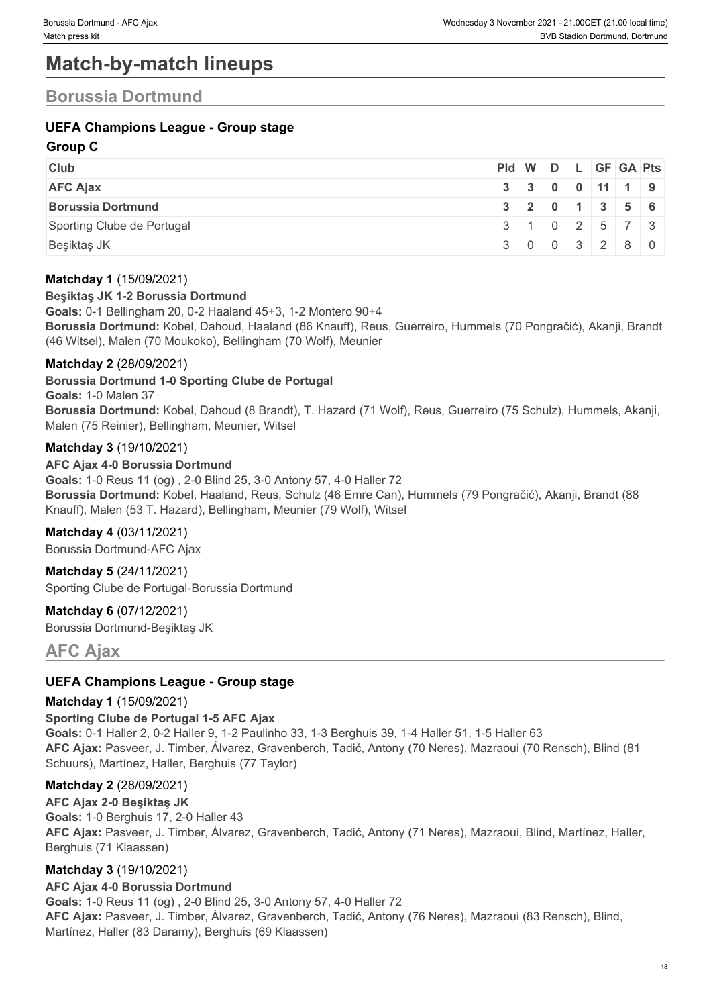# **Match-by-match lineups**

### **Borussia Dortmund**

### **UEFA Champions League - Group stage**

### **Group C**

| <b>Club</b>                | Pid W D L GF GA Pts |  |  |                                               |
|----------------------------|---------------------|--|--|-----------------------------------------------|
| <b>AFC Ajax</b>            |                     |  |  | 3   3   0   0   11   1   9                    |
| <b>Borussia Dortmund</b>   |                     |  |  | $3 \mid 2 \mid 0 \mid 1 \mid 3 \mid 5 \mid 6$ |
| Sporting Clube de Portugal | 3 1 0 2 5 7 3       |  |  |                                               |
| Beşiktaş JK                |                     |  |  | 3 0 0 3 2 8 0                                 |

### **Matchday 1** (15/09/2021)

#### **Beşiktaş JK 1-2 Borussia Dortmund**

**Goals:** 0-1 Bellingham 20, 0-2 Haaland 45+3, 1-2 Montero 90+4 **Borussia Dortmund:** Kobel, Dahoud, Haaland (86 Knauff), Reus, Guerreiro, Hummels (70 Pongračić), Akanji, Brandt (46 Witsel), Malen (70 Moukoko), Bellingham (70 Wolf), Meunier

### **Matchday 2** (28/09/2021)

**Borussia Dortmund 1-0 Sporting Clube de Portugal**

**Goals:** 1-0 Malen 37

**Borussia Dortmund:** Kobel, Dahoud (8 Brandt), T. Hazard (71 Wolf), Reus, Guerreiro (75 Schulz), Hummels, Akanji, Malen (75 Reinier), Bellingham, Meunier, Witsel

#### **Matchday 3** (19/10/2021)

**AFC Ajax 4-0 Borussia Dortmund Goals:** 1-0 Reus 11 (og) , 2-0 Blind 25, 3-0 Antony 57, 4-0 Haller 72 **Borussia Dortmund:** Kobel, Haaland, Reus, Schulz (46 Emre Can), Hummels (79 Pongračić), Akanji, Brandt (88 Knauff), Malen (53 T. Hazard), Bellingham, Meunier (79 Wolf), Witsel

### **Matchday 4** (03/11/2021)

Borussia Dortmund-AFC Ajax

**Matchday 5** (24/11/2021) Sporting Clube de Portugal-Borussia Dortmund

**Matchday 6** (07/12/2021) Borussia Dortmund-Beşiktaş JK

**AFC Ajax**

### **UEFA Champions League - Group stage**

#### **Matchday 1** (15/09/2021)

**Sporting Clube de Portugal 1-5 AFC Ajax Goals:** 0-1 Haller 2, 0-2 Haller 9, 1-2 Paulinho 33, 1-3 Berghuis 39, 1-4 Haller 51, 1-5 Haller 63 **AFC Ajax:** Pasveer, J. Timber, Álvarez, Gravenberch, Tadić, Antony (70 Neres), Mazraoui (70 Rensch), Blind (81 Schuurs), Martínez, Haller, Berghuis (77 Taylor)

### **Matchday 2** (28/09/2021)

**AFC Ajax 2-0 Beşiktaş JK Goals:** 1-0 Berghuis 17, 2-0 Haller 43 **AFC Ajax:** Pasveer, J. Timber, Álvarez, Gravenberch, Tadić, Antony (71 Neres), Mazraoui, Blind, Martínez, Haller, Berghuis (71 Klaassen)

### **Matchday 3** (19/10/2021)

#### **AFC Ajax 4-0 Borussia Dortmund**

**Goals:** 1-0 Reus 11 (og) , 2-0 Blind 25, 3-0 Antony 57, 4-0 Haller 72 **AFC Ajax:** Pasveer, J. Timber, Álvarez, Gravenberch, Tadić, Antony (76 Neres), Mazraoui (83 Rensch), Blind, Martínez, Haller (83 Daramy), Berghuis (69 Klaassen)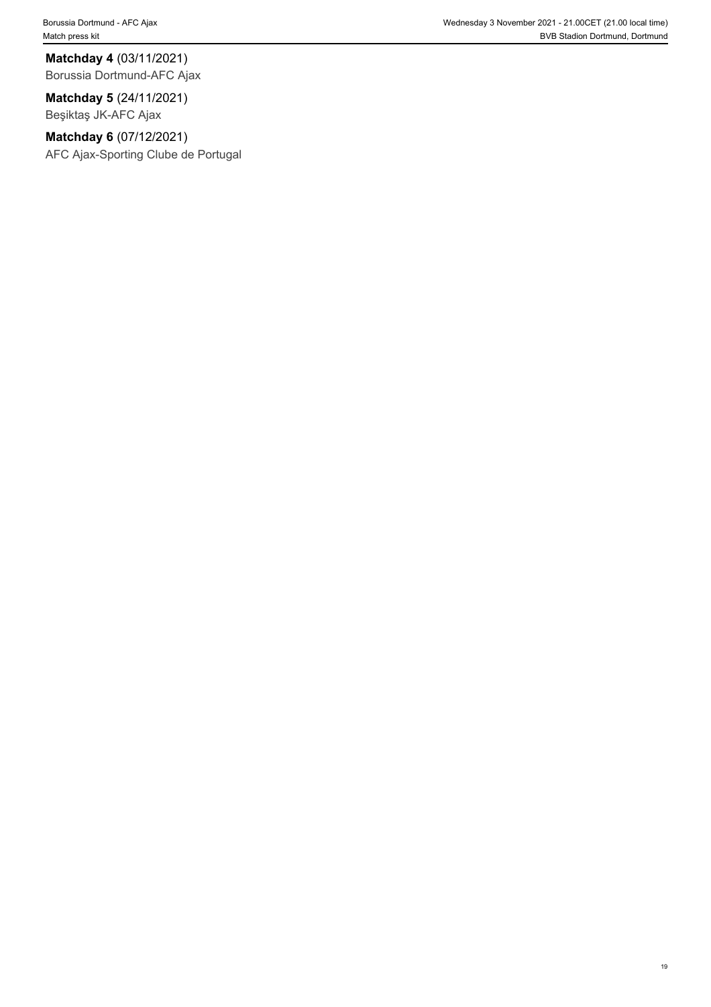**Matchday 4** (03/11/2021) Borussia Dortmund-AFC Ajax

**Matchday 5** (24/11/2021) Beşiktaş JK-AFC Ajax

**Matchday 6** (07/12/2021) AFC Ajax-Sporting Clube de Portugal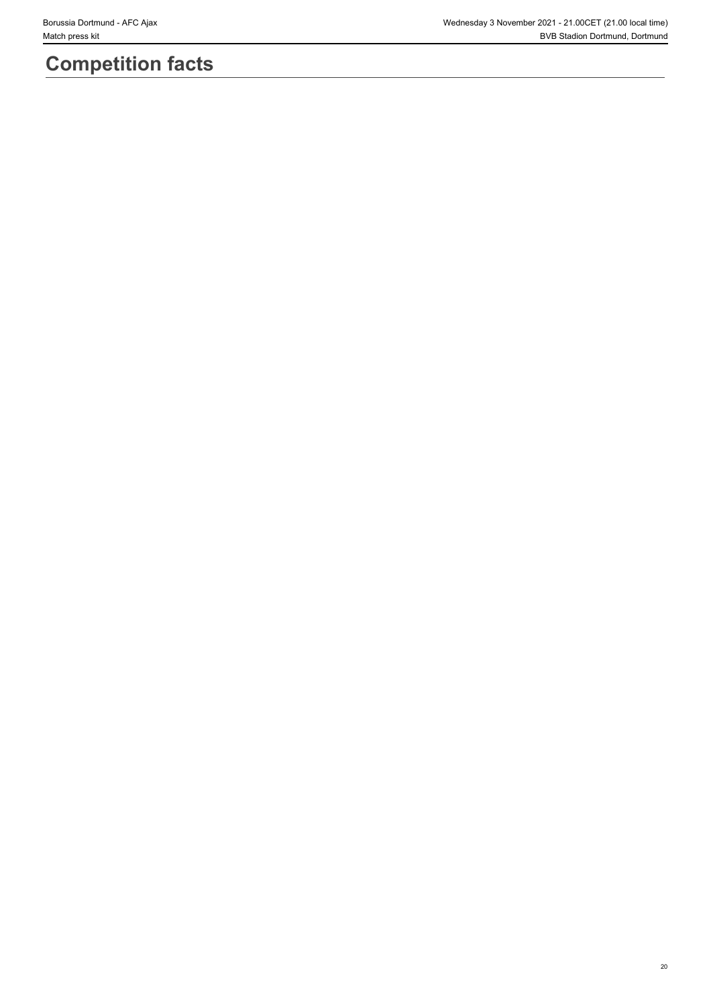# **Competition facts**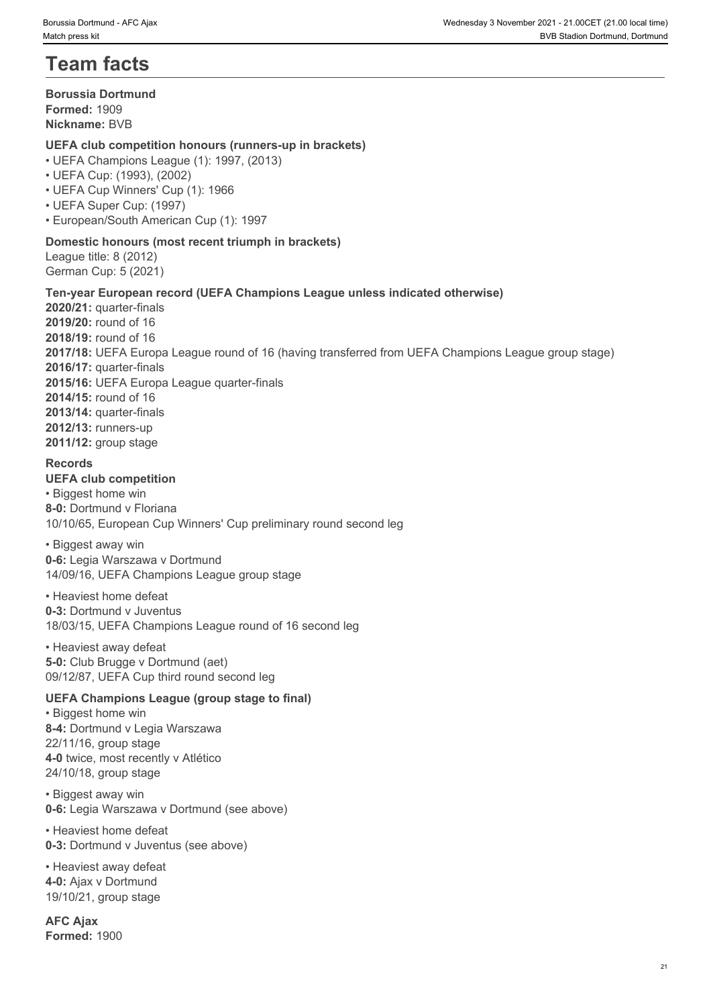# **Team facts**

#### **Borussia Dortmund Formed:** 1909 **Nickname:** BVB

### **UEFA club competition honours (runners-up in brackets)**

- UEFA Champions League (1): 1997, (2013)
- UEFA Cup: (1993), (2002)
- UEFA Cup Winners' Cup (1): 1966
- UEFA Super Cup: (1997)
- European/South American Cup (1): 1997

### **Domestic honours (most recent triumph in brackets)**

League title: 8 (2012) German Cup: 5 (2021)

### **Ten-year European record (UEFA Champions League unless indicated otherwise)**

**2020/21:** quarter-finals **2019/20:** round of 16 **2018/19:** round of 16 **2017/18:** UEFA Europa League round of 16 (having transferred from UEFA Champions League group stage) **2016/17:** quarter-finals **2015/16:** UEFA Europa League quarter-finals **2014/15:** round of 16 **2013/14:** quarter-finals **2012/13:** runners-up **2011/12:** group stage

#### **Records**

#### **UEFA club competition**

• Biggest home win **8-0:** Dortmund v Floriana 10/10/65, European Cup Winners' Cup preliminary round second leg

• Biggest away win **0-6:** Legia Warszawa v Dortmund 14/09/16, UEFA Champions League group stage

• Heaviest home defeat **0-3:** Dortmund v Juventus 18/03/15, UEFA Champions League round of 16 second leg

• Heaviest away defeat **5-0:** Club Brugge v Dortmund (aet) 09/12/87, UEFA Cup third round second leg

### **UEFA Champions League (group stage to final)**

• Biggest home win **8-4:** Dortmund v Legia Warszawa 22/11/16, group stage **4-0** twice, most recently v Atlético 24/10/18, group stage

• Biggest away win **0-6:** Legia Warszawa v Dortmund (see above)

• Heaviest home defeat **0-3:** Dortmund v Juventus (see above)

• Heaviest away defeat **4-0:** Ajax v Dortmund 19/10/21, group stage

**AFC Ajax Formed:** 1900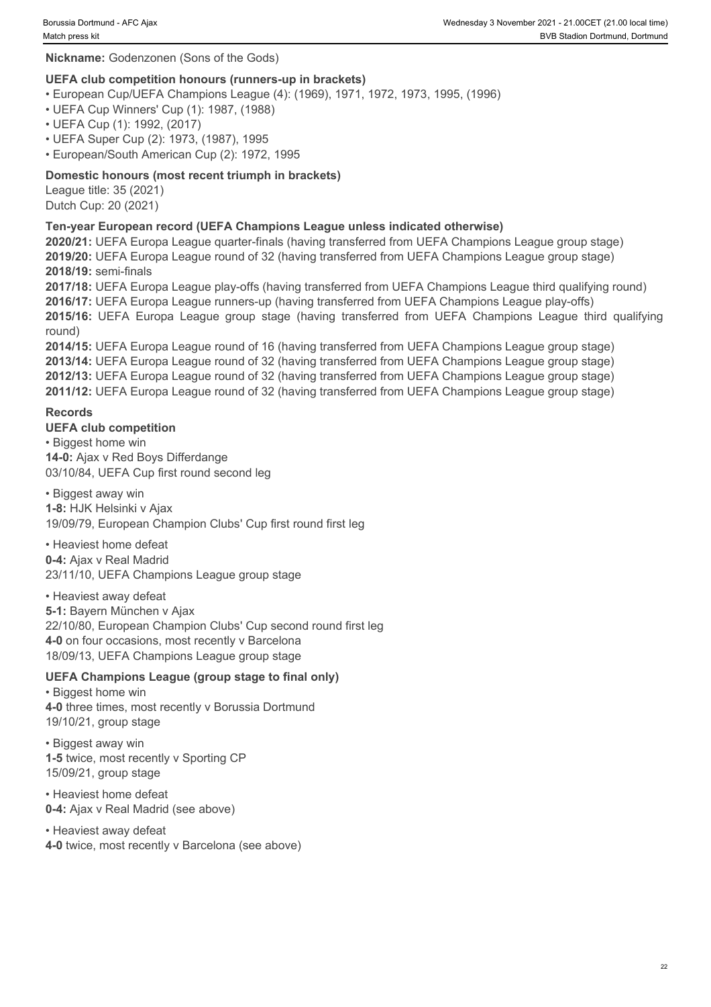#### **Nickname:** Godenzonen (Sons of the Gods)

#### **UEFA club competition honours (runners-up in brackets)**

- European Cup/UEFA Champions League (4): (1969), 1971, 1972, 1973, 1995, (1996)
- UEFA Cup Winners' Cup (1): 1987, (1988)
- UEFA Cup (1): 1992, (2017)
- UEFA Super Cup (2): 1973, (1987), 1995
- European/South American Cup (2): 1972, 1995

### **Domestic honours (most recent triumph in brackets)**

League title: 35 (2021) Dutch Cup: 20 (2021)

#### **Ten-year European record (UEFA Champions League unless indicated otherwise)**

**2020/21:** UEFA Europa League quarter-finals (having transferred from UEFA Champions League group stage) **2019/20:** UEFA Europa League round of 32 (having transferred from UEFA Champions League group stage) **2018/19:** semi-finals

**2017/18:** UEFA Europa League play-offs (having transferred from UEFA Champions League third qualifying round) **2016/17:** UEFA Europa League runners-up (having transferred from UEFA Champions League play-offs)

round)

**2016/16: 2016/16: 2016/16: 2016/16: 2016/16: 2016/16: 2016/16: 2016/16: 2016/16: 2016/16: 2016/16: 2016/16: 2016/16: 2016/16: 2016/16: 2016/16: 2016/16: 2016/16: 2016/16: 2016/16: 2 2014/15:** UEFA Europa League round of 16 (having transferred from UEFA Champions League group stage) **2013/14:** UEFA Europa League round of 32 (having transferred from UEFA Champions League group stage) **2012/13:** UEFA Europa League round of 32 (having transferred from UEFA Champions League group stage) **2011/12:** UEFA Europa League round of 32 (having transferred from UEFA Champions League group stage)

#### **Records**

#### **UEFA club competition**

• Biggest home win **14-0:** Ajax v Red Boys Differdange 03/10/84, UEFA Cup first round second leg

• Biggest away win

**1-8:** HJK Helsinki v Ajax

19/09/79, European Champion Clubs' Cup first round first leg

• Heaviest home defeat **0-4:** Ajax v Real Madrid 23/11/10, UEFA Champions League group stage

• Heaviest away defeat **5-1:** Bayern München v Ajax 22/10/80, European Champion Clubs' Cup second round first leg **4-0** on four occasions, most recently v Barcelona 18/09/13, UEFA Champions League group stage

#### **UEFA Champions League (group stage to final only)**

• Biggest home win **4-0** three times, most recently v Borussia Dortmund 19/10/21, group stage

• Biggest away win **1-5** twice, most recently v Sporting CP 15/09/21, group stage

• Heaviest home defeat **0-4:** Ajax v Real Madrid (see above)

• Heaviest away defeat **4-0** twice, most recently v Barcelona (see above)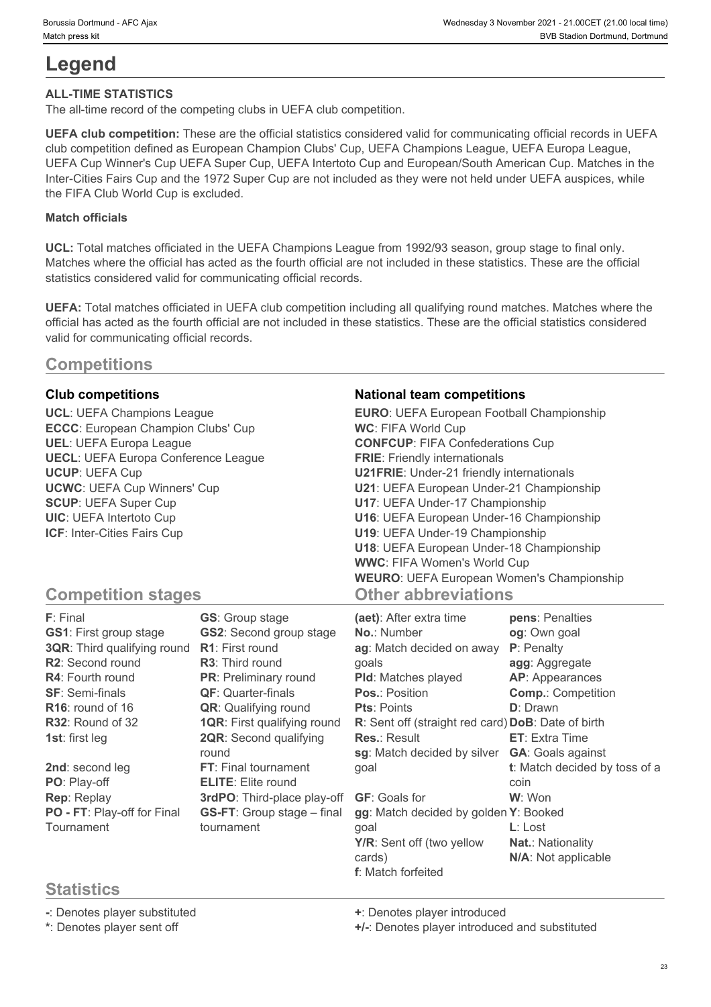# **Legend**

### **ALL-TIME STATISTICS**

The all-time record of the competing clubs in UEFA club competition.

**UEFA club competition:** These are the official statistics considered valid for communicating official records in UEFA club competition defined as European Champion Clubs' Cup, UEFA Champions League, UEFA Europa League, UEFA Cup Winner's Cup UEFA Super Cup, UEFA Intertoto Cup and European/South American Cup. Matches in the Inter-Cities Fairs Cup and the 1972 Super Cup are not included as they were not held under UEFA auspices, while the FIFA Club World Cup is excluded.

#### **Match officials**

**UCL:** Total matches officiated in the UEFA Champions League from 1992/93 season, group stage to final only. Matches where the official has acted as the fourth official are not included in these statistics. These are the official statistics considered valid for communicating official records.

**UEFA:** Total matches officiated in UEFA club competition including all qualifying round matches. Matches where the official has acted as the fourth official are not included in these statistics. These are the official statistics considered valid for communicating official records.

### **Competitions**

**ECCC**: European Champion Clubs' Cup **UECL**: UEFA Europa Conference League

#### **Club competitions National team competitions**

**UCL**: UEFA Champions League **EURO**: UEFA European Football Championship **UEL**: UEFA Europa League **CONFCUP**: FIFA Confederations Cup **UCUP**: UEFA Cup **U21FRIE**: Under-21 friendly internationals **UCWC**: UEFA Cup Winners' Cup **U21**: UEFA European Under-21 Championship **SCUP**: UEFA Super Cup **U17**: UEFA Under-17 Championship **UIC**: UEFA Intertoto Cup **U16**: UEFA European Under-16 Championship **ICF**: Inter-Cities Fairs Cup **U19**: UEFA Under-19 Championship **WC**: FIFA World Cup **FRIE**: Friendly internationals **U18**: UEFA European Under-18 Championship **WWC**: FIFA Women's World Cup **WEURO**: UEFA European Women's Championship **Other abbreviations**

### **Competition stages**

| F: Final                      | <b>GS:</b> Group stage             | (aet): After extra time                            | pens: Penalties               |
|-------------------------------|------------------------------------|----------------------------------------------------|-------------------------------|
| <b>GS1: First group stage</b> | <b>GS2: Second group stage</b>     | No.: Number                                        | og: Own goal                  |
| 3QR: Third qualifying round   | <b>R1:</b> First round             | ag: Match decided on away                          | P: Penalty                    |
| R2: Second round              | <b>R3:</b> Third round             | qoals                                              | agg: Aggregate                |
| <b>R4: Fourth round</b>       | <b>PR:</b> Preliminary round       | <b>PId:</b> Matches played                         | <b>AP:</b> Appearances        |
| <b>SF: Semi-finals</b>        | <b>QF: Quarter-finals</b>          | <b>Pos.: Position</b>                              | <b>Comp.: Competition</b>     |
| R <sub>16</sub> : round of 16 | <b>QR:</b> Qualifying round        | <b>Pts: Points</b>                                 | D: Drawn                      |
| <b>R32: Round of 32</b>       | <b>1QR:</b> First qualifying round | R: Sent off (straight red card) DoB: Date of birth |                               |
| <b>1st: first leg</b>         | <b>2QR: Second qualifying</b>      | <b>Res.: Result</b>                                | <b>ET:</b> Extra Time         |
|                               | round                              | sg: Match decided by silver                        | <b>GA:</b> Goals against      |
| 2nd: second leg               | <b>FT:</b> Final tournament        | goal                                               | t: Match decided by toss of a |
| PO: Play-off                  | <b>ELITE:</b> Elite round          |                                                    | coin                          |
| Rep: Replay                   | 3rdPO: Third-place play-off        | <b>GF:</b> Goals for                               | W: Won                        |
| PO - FT: Play-off for Final   | <b>GS-FT:</b> Group stage – final  | gg: Match decided by golden Y: Booked              |                               |
| Tournament                    | tournament                         | qoal                                               | $L:$ Lost                     |
|                               |                                    | Y/R: Sent off (two yellow                          | <b>Nat.: Nationality</b>      |
|                               |                                    | cards)                                             | N/A: Not applicable           |
|                               |                                    | f: Match forfeited                                 |                               |

### **Statistics**

**-**: Denotes player substituted **+**: Denotes player introduced

**\***: Denotes player sent off **+/-**: Denotes player introduced and substituted